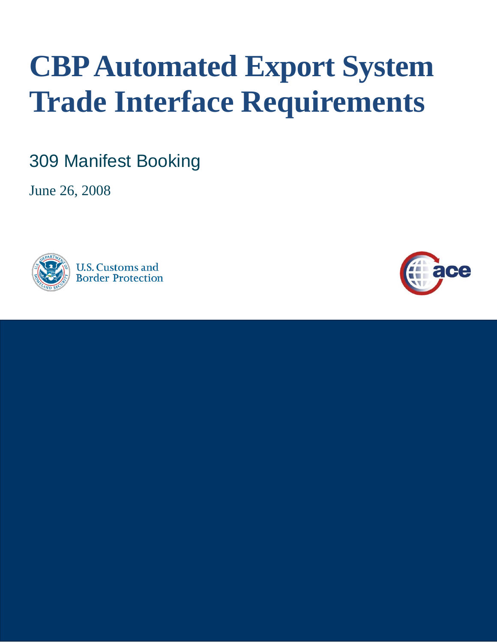# **CBP Automated Export System Trade Interface Requirements**

309 Manifest Booking

June 26, 2008



**U.S. Customs and Border Protection** 

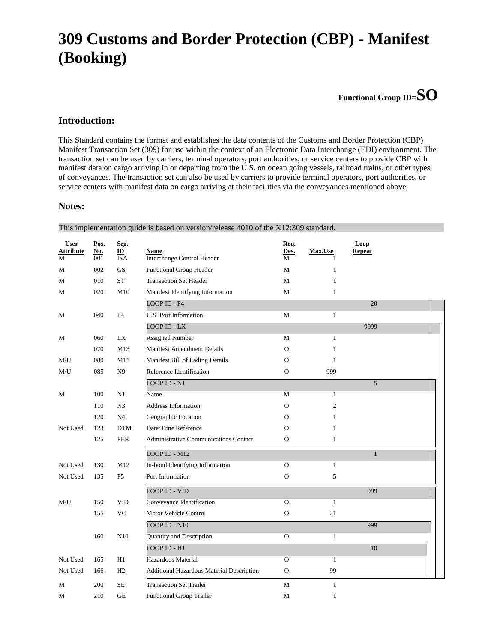## **309 Customs and Border Protection (CBP) - Manifest (Booking)**

**Functional Group ID=SO**

#### **Introduction:**

This Standard contains the format and establishes the data contents of the Customs and Border Protection (CBP) Manifest Transaction Set (309) for use within the context of an Electronic Data Interchange (EDI) environment. The transaction set can be used by carriers, terminal operators, port authorities, or service centers to provide CBP with manifest data on cargo arriving in or departing from the U.S. on ocean going vessels, railroad trains, or other types of conveyances. The transaction set can also be used by carriers to provide terminal operators, port authorities, or service centers with manifest data on cargo arriving at their facilities via the conveyances mentioned above.

#### **Notes:**

| <b>User</b>           | Pos.              | Seg.                                    |                                                  | Req.         |                | Loop          |  |
|-----------------------|-------------------|-----------------------------------------|--------------------------------------------------|--------------|----------------|---------------|--|
| <b>Attribute</b><br>М | <b>No.</b><br>001 | $\underline{\mathbf{ID}}$<br><b>ISA</b> | <b>Name</b><br><b>Interchange Control Header</b> | Des.<br>М    | Max.Use<br>1   | <b>Repeat</b> |  |
| М                     | 002               | $\mathbf{G}\mathbf{S}$                  | Functional Group Header                          | M            | $\mathbf{1}$   |               |  |
| M                     | 010               | <b>ST</b>                               | <b>Transaction Set Header</b>                    | M            | $\mathbf{1}$   |               |  |
| М                     | 020               | M10                                     | Manifest Identifying Information                 | M            | $\mathbf{1}$   |               |  |
|                       |                   |                                         | $LOOP$ ID - $P4$                                 |              |                | 20            |  |
| М                     | 040               | P <sub>4</sub>                          | U.S. Port Information                            | M            | $\mathbf{1}$   |               |  |
|                       |                   |                                         | $LOOP$ ID - $LX$                                 |              |                | 9999          |  |
| М                     | 060               | LX                                      | <b>Assigned Number</b>                           | M            | $\mathbf{1}$   |               |  |
|                       | 070               | M13                                     | <b>Manifest Amendment Details</b>                | $\mathbf O$  | $\mathbf{1}$   |               |  |
| M/U                   | 080               | M11                                     | Manifest Bill of Lading Details                  | $\Omega$     | $\mathbf{1}$   |               |  |
| M/U                   | 085               | N <sub>9</sub>                          | Reference Identification                         | $\mathbf O$  | 999            |               |  |
|                       |                   |                                         | <b>LOOP ID - N1</b>                              |              |                | 5             |  |
| M                     | 100               | N1                                      | Name                                             | M            | $\mathbf{1}$   |               |  |
|                       | 110               | N <sub>3</sub>                          | Address Information                              | $\Omega$     | $\overline{c}$ |               |  |
|                       | 120               | N <sub>4</sub>                          | Geographic Location                              | $\circ$      | $\mathbf{1}$   |               |  |
| Not Used              | 123               | <b>DTM</b>                              | Date/Time Reference                              | $\Omega$     | $\mathbf{1}$   |               |  |
|                       | 125               | <b>PER</b>                              | <b>Administrative Communications Contact</b>     | $\mathbf{O}$ | 1              |               |  |
|                       |                   |                                         | LOOP ID - M12                                    |              |                | $\mathbf{1}$  |  |
| Not Used              | 130               | M12                                     | In-bond Identifying Information                  | $\mathbf O$  | $\mathbf{1}$   |               |  |
| Not Used              | 135               | P <sub>5</sub>                          | Port Information                                 | $\mathbf 0$  | 5              |               |  |
|                       |                   |                                         | <b>LOOP ID - VID</b>                             |              |                | 999           |  |
| M/U                   | 150               | <b>VID</b>                              | Conveyance Identification                        | $\Omega$     | $\mathbf{1}$   |               |  |
|                       | 155               | $\rm VC$                                | Motor Vehicle Control                            | $\mathbf O$  | $21\,$         |               |  |
|                       |                   |                                         | $LOOP$ ID - $N10$                                |              |                | 999           |  |
|                       | 160               | N10                                     | Quantity and Description                         | $\Omega$     | $\mathbf{1}$   |               |  |
|                       |                   |                                         | LOOP ID - H1                                     |              |                | 10            |  |
| Not Used              | 165               | H1                                      | Hazardous Material                               | $\Omega$     | $\mathbf{1}$   |               |  |
| Not Used              | 166               | H2                                      | Additional Hazardous Material Description        | ${\rm O}$    | 99             |               |  |
| M                     | 200               | <b>SE</b>                               | <b>Transaction Set Trailer</b>                   | M            | $\mathbf{1}$   |               |  |
| М                     | 210               | <b>GE</b>                               | Functional Group Trailer                         | M            | $\mathbf{1}$   |               |  |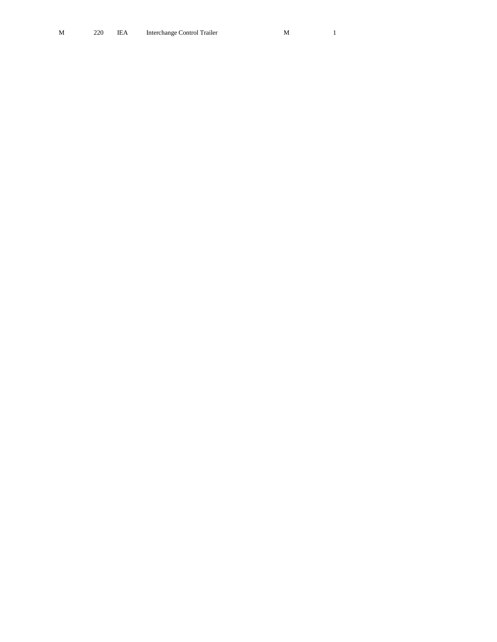| M |  | 220 IEA Interchange Control Trailer |  |
|---|--|-------------------------------------|--|
|   |  |                                     |  |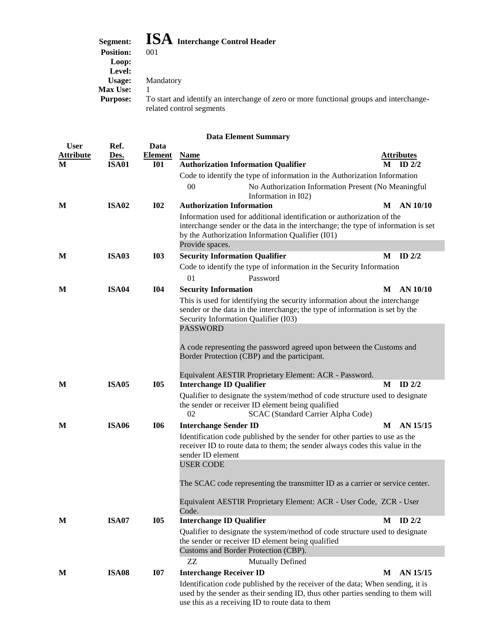## **Segment: ISA Interchange Control Header**

| <b>Position:</b> | 001                                                                                                                 |
|------------------|---------------------------------------------------------------------------------------------------------------------|
| Loop:            |                                                                                                                     |
| Level:           |                                                                                                                     |
| Usage:           | Mandatory                                                                                                           |
| <b>Max Use:</b>  |                                                                                                                     |
| <b>Purpose:</b>  | To start and identify an interchange of zero or more functional groups and interchange-<br>related control segments |
|                  |                                                                                                                     |

| <b>User</b>      | Ref.         | Data           |                                                                                                                                                                                                                                    |   |                   |
|------------------|--------------|----------------|------------------------------------------------------------------------------------------------------------------------------------------------------------------------------------------------------------------------------------|---|-------------------|
| <b>Attribute</b> | Des.         | <b>Element</b> | <b>Name</b>                                                                                                                                                                                                                        |   | <b>Attributes</b> |
| M                | <b>ISA01</b> | <b>I01</b>     | <b>Authorization Information Qualifier</b>                                                                                                                                                                                         | M | ID $2/2$          |
|                  |              |                | Code to identify the type of information in the Authorization Information                                                                                                                                                          |   |                   |
|                  |              |                | $00\,$<br>No Authorization Information Present (No Meaningful<br>Information in I02)                                                                                                                                               |   |                   |
| M                | <b>ISA02</b> | <b>I02</b>     | <b>Authorization Information</b>                                                                                                                                                                                                   | M | AN $10/10$        |
|                  |              |                | Information used for additional identification or authorization of the<br>interchange sender or the data in the interchange; the type of information is set<br>by the Authorization Information Qualifier (I01)<br>Provide spaces. |   |                   |
| M                | <b>ISA03</b> | <b>I03</b>     | <b>Security Information Qualifier</b>                                                                                                                                                                                              | M | ID $2/2$          |
|                  |              |                | Code to identify the type of information in the Security Information                                                                                                                                                               |   |                   |
|                  |              |                | 01<br>Password                                                                                                                                                                                                                     |   |                   |
| M                | <b>ISA04</b> | <b>I04</b>     | <b>Security Information</b>                                                                                                                                                                                                        |   | M AN 10/10        |
|                  |              |                | This is used for identifying the security information about the interchange<br>sender or the data in the interchange; the type of information is set by the<br>Security Information Qualifier (I03)<br><b>PASSWORD</b>             |   |                   |
|                  |              |                | A code representing the password agreed upon between the Customs and<br>Border Protection (CBP) and the participant.<br>Equivalent AESTIR Proprietary Element: ACR - Password.                                                     |   |                   |
| M                | <b>ISA05</b> | <b>I05</b>     | <b>Interchange ID Qualifier</b>                                                                                                                                                                                                    | M | ID $2/2$          |
|                  |              |                | Qualifier to designate the system/method of code structure used to designate<br>the sender or receiver ID element being qualified<br>02<br>SCAC (Standard Carrier Alpha Code)                                                      |   |                   |
| M                | <b>ISA06</b> | <b>I06</b>     | <b>Interchange Sender ID</b>                                                                                                                                                                                                       |   | M AN 15/15        |
|                  |              |                | Identification code published by the sender for other parties to use as the<br>receiver ID to route data to them; the sender always codes this value in the<br>sender ID element                                                   |   |                   |
|                  |              |                | <b>USER CODE</b>                                                                                                                                                                                                                   |   |                   |
|                  |              |                | The SCAC code representing the transmitter ID as a carrier or service center.                                                                                                                                                      |   |                   |
|                  |              |                | Equivalent AESTIR Proprietary Element: ACR - User Code, ZCR - User<br>Code.                                                                                                                                                        |   |                   |
| M                | <b>ISA07</b> | <b>I05</b>     | <b>Interchange ID Qualifier</b>                                                                                                                                                                                                    |   | $M$ ID $2/2$      |
|                  |              |                | Qualifier to designate the system/method of code structure used to designate<br>the sender or receiver ID element being qualified                                                                                                  |   |                   |
|                  |              |                | Customs and Border Protection (CBP).                                                                                                                                                                                               |   |                   |
|                  |              |                | ZZ<br>Mutually Defined                                                                                                                                                                                                             |   |                   |
| M                | <b>ISA08</b> | <b>I07</b>     | <b>Interchange Receiver ID</b>                                                                                                                                                                                                     | M | AN 15/15          |
|                  |              |                | Identification code published by the receiver of the data; When sending, it is<br>used by the sender as their sending ID, thus other parties sending to them will<br>use this as a receiving ID to route data to them              |   |                   |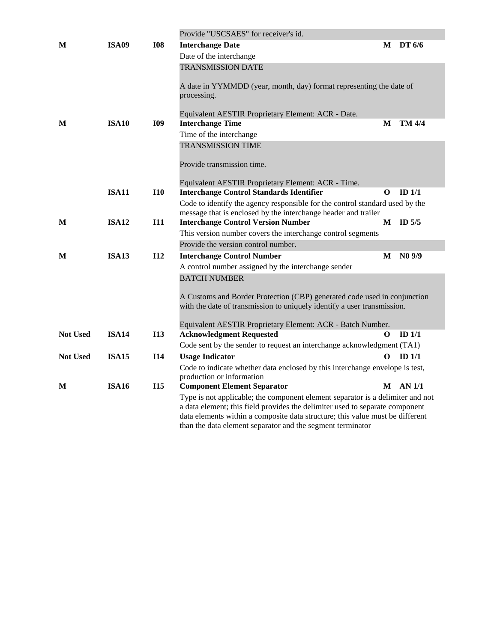|                 |              |            | Provide "USCSAES" for receiver's id.                                                                                                                                                                                                                                                                          |          |                   |
|-----------------|--------------|------------|---------------------------------------------------------------------------------------------------------------------------------------------------------------------------------------------------------------------------------------------------------------------------------------------------------------|----------|-------------------|
| M               | <b>ISA09</b> | <b>I08</b> | <b>Interchange Date</b>                                                                                                                                                                                                                                                                                       |          | $M$ DT $6/6$      |
|                 |              |            | Date of the interchange                                                                                                                                                                                                                                                                                       |          |                   |
|                 |              |            | <b>TRANSMISSION DATE</b>                                                                                                                                                                                                                                                                                      |          |                   |
|                 |              |            | A date in YYMMDD (year, month, day) format representing the date of<br>processing.                                                                                                                                                                                                                            |          |                   |
|                 |              |            | Equivalent AESTIR Proprietary Element: ACR - Date.                                                                                                                                                                                                                                                            |          |                   |
| M               | <b>ISA10</b> | <b>I09</b> | <b>Interchange Time</b>                                                                                                                                                                                                                                                                                       | M        | TM 4/4            |
|                 |              |            | Time of the interchange                                                                                                                                                                                                                                                                                       |          |                   |
|                 |              |            | <b>TRANSMISSION TIME</b>                                                                                                                                                                                                                                                                                      |          |                   |
|                 |              |            | Provide transmission time.                                                                                                                                                                                                                                                                                    |          |                   |
|                 |              |            | Equivalent AESTIR Proprietary Element: ACR - Time.                                                                                                                                                                                                                                                            |          |                   |
|                 | <b>ISA11</b> | <b>I10</b> | <b>Interchange Control Standards Identifier</b>                                                                                                                                                                                                                                                               | O        | ID $1/1$          |
|                 |              |            | Code to identify the agency responsible for the control standard used by the                                                                                                                                                                                                                                  |          |                   |
|                 |              |            | message that is enclosed by the interchange header and trailer                                                                                                                                                                                                                                                |          |                   |
| M               | <b>ISA12</b> | I11        | <b>Interchange Control Version Number</b>                                                                                                                                                                                                                                                                     |          | $M$ ID 5/5        |
|                 |              |            | This version number covers the interchange control segments                                                                                                                                                                                                                                                   |          |                   |
|                 |              |            | Provide the version control number.                                                                                                                                                                                                                                                                           |          |                   |
| М               | <b>ISA13</b> | <b>I12</b> | <b>Interchange Control Number</b>                                                                                                                                                                                                                                                                             | M        | $N0$ 9/9          |
|                 |              |            | A control number assigned by the interchange sender                                                                                                                                                                                                                                                           |          |                   |
|                 |              |            | <b>BATCH NUMBER</b>                                                                                                                                                                                                                                                                                           |          |                   |
|                 |              |            | A Customs and Border Protection (CBP) generated code used in conjunction<br>with the date of transmission to uniquely identify a user transmission.                                                                                                                                                           |          |                   |
|                 |              |            | Equivalent AESTIR Proprietary Element: ACR - Batch Number.                                                                                                                                                                                                                                                    |          |                   |
| <b>Not Used</b> | <b>ISA14</b> | <b>I13</b> | <b>Acknowledgment Requested</b>                                                                                                                                                                                                                                                                               | $\Omega$ | $ID$ 1/1          |
|                 |              |            | Code sent by the sender to request an interchange acknowledgment (TA1)                                                                                                                                                                                                                                        |          |                   |
| <b>Not Used</b> | <b>ISA15</b> | <b>I14</b> | <b>Usage Indicator</b>                                                                                                                                                                                                                                                                                        | $\Omega$ | ID <sub>1/1</sub> |
|                 |              |            | Code to indicate whether data enclosed by this interchange envelope is test,<br>production or information                                                                                                                                                                                                     |          |                   |
| M               | <b>ISA16</b> | <b>I15</b> | <b>Component Element Separator</b>                                                                                                                                                                                                                                                                            |          | $M$ AN $1/1$      |
|                 |              |            | Type is not applicable; the component element separator is a delimiter and not<br>a data element; this field provides the delimiter used to separate component<br>data elements within a composite data structure; this value must be different<br>than the data element separator and the segment terminator |          |                   |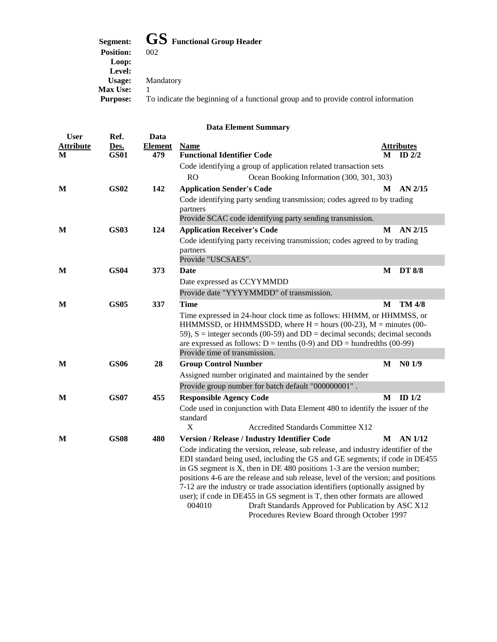**Segment: GS Functional Group Header** 

| segment:         | <b>UD</b> Functional Group Header                                                  |
|------------------|------------------------------------------------------------------------------------|
| <b>Position:</b> | 002                                                                                |
| Loop:            |                                                                                    |
| Level:           |                                                                                    |
| Usage:           | Mandatory                                                                          |
| <b>Max Use:</b>  |                                                                                    |
| <b>Purpose:</b>  | To indicate the beginning of a functional group and to provide control information |
|                  |                                                                                    |

| <b>User</b>           | Ref.                | Data                  |                                                                                                                                                                                                                                                                                                                                                            |   |                               |
|-----------------------|---------------------|-----------------------|------------------------------------------------------------------------------------------------------------------------------------------------------------------------------------------------------------------------------------------------------------------------------------------------------------------------------------------------------------|---|-------------------------------|
| <b>Attribute</b><br>М | Des.<br><b>GS01</b> | <b>Element</b><br>479 | <b>Name</b><br><b>Functional Identifier Code</b>                                                                                                                                                                                                                                                                                                           | M | <b>Attributes</b><br>ID $2/2$ |
|                       |                     |                       | Code identifying a group of application related transaction sets                                                                                                                                                                                                                                                                                           |   |                               |
|                       |                     |                       | <b>RO</b><br>Ocean Booking Information (300, 301, 303)                                                                                                                                                                                                                                                                                                     |   |                               |
| M                     | <b>GS02</b>         | 142                   | <b>Application Sender's Code</b>                                                                                                                                                                                                                                                                                                                           | M | AN 2/15                       |
|                       |                     |                       | Code identifying party sending transmission; codes agreed to by trading                                                                                                                                                                                                                                                                                    |   |                               |
|                       |                     |                       | partners                                                                                                                                                                                                                                                                                                                                                   |   |                               |
|                       |                     |                       | Provide SCAC code identifying party sending transmission.                                                                                                                                                                                                                                                                                                  |   |                               |
| M                     | <b>GS03</b>         | 124                   | <b>Application Receiver's Code</b>                                                                                                                                                                                                                                                                                                                         | M | AN $2/15$                     |
|                       |                     |                       | Code identifying party receiving transmission; codes agreed to by trading<br>partners                                                                                                                                                                                                                                                                      |   |                               |
|                       |                     |                       | Provide "USCSAES".                                                                                                                                                                                                                                                                                                                                         |   |                               |
| M                     | <b>GS04</b>         | 373                   | Date                                                                                                                                                                                                                                                                                                                                                       | M | <b>DT 8/8</b>                 |
|                       |                     |                       | Date expressed as CCYYMMDD                                                                                                                                                                                                                                                                                                                                 |   |                               |
|                       |                     |                       | Provide date "YYYYMMDD" of transmission.                                                                                                                                                                                                                                                                                                                   |   |                               |
| M                     | <b>GS05</b>         | 337                   | <b>Time</b>                                                                                                                                                                                                                                                                                                                                                | M | TM 4/8                        |
|                       |                     |                       | Time expressed in 24-hour clock time as follows: HHMM, or HHMMSS, or<br>HHMMSSD, or HHMMSSDD, where $H =$ hours (00-23), $M =$ minutes (00-<br>59), $S =$ integer seconds (00-59) and $DD =$ decimal seconds; decimal seconds<br>are expressed as follows: $D = \text{tenths} (0-9)$ and $DD = \text{hundredths} (00-99)$<br>Provide time of transmission. |   |                               |
| M                     | <b>GS06</b>         | 28                    | <b>Group Control Number</b>                                                                                                                                                                                                                                                                                                                                | M | N01/9                         |
|                       |                     |                       | Assigned number originated and maintained by the sender                                                                                                                                                                                                                                                                                                    |   |                               |
|                       |                     |                       | Provide group number for batch default "000000001".                                                                                                                                                                                                                                                                                                        |   |                               |
| М                     | <b>GS07</b>         | 455                   | <b>Responsible Agency Code</b>                                                                                                                                                                                                                                                                                                                             |   | $M$ ID $1/2$                  |
|                       |                     |                       | Code used in conjunction with Data Element 480 to identify the issuer of the<br>standard<br>X<br>Accredited Standards Committee X12                                                                                                                                                                                                                        |   |                               |
| M                     | <b>GS08</b>         | 480                   | Version / Release / Industry Identifier Code                                                                                                                                                                                                                                                                                                               | M | AN 1/12                       |
|                       |                     |                       | Code indicating the version, release, sub release, and industry identifier of the                                                                                                                                                                                                                                                                          |   |                               |
|                       |                     |                       | EDI standard being used, including the GS and GE segments; if code in DE455                                                                                                                                                                                                                                                                                |   |                               |
|                       |                     |                       | in GS segment is $X$ , then in DE 480 positions 1-3 are the version number;                                                                                                                                                                                                                                                                                |   |                               |
|                       |                     |                       | positions 4-6 are the release and sub release, level of the version; and positions                                                                                                                                                                                                                                                                         |   |                               |
|                       |                     |                       | 7-12 are the industry or trade association identifiers (optionally assigned by                                                                                                                                                                                                                                                                             |   |                               |
|                       |                     |                       | user); if code in DE455 in GS segment is T, then other formats are allowed<br>Draft Standards Approved for Publication by ASC X12<br>004010                                                                                                                                                                                                                |   |                               |
|                       |                     |                       | Procedures Review Board through October 1997                                                                                                                                                                                                                                                                                                               |   |                               |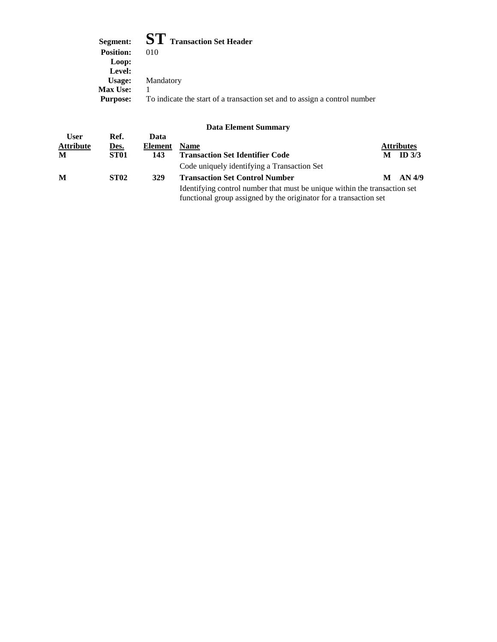| Segment: $ST$ Transaction Set Header                                      |
|---------------------------------------------------------------------------|
| 010                                                                       |
|                                                                           |
|                                                                           |
| Mandatory                                                                 |
|                                                                           |
| To indicate the start of a transaction set and to assign a control number |
|                                                                           |

|                  |                  |         | Duva Envincin Duminian                                                                                                                         |   |                   |
|------------------|------------------|---------|------------------------------------------------------------------------------------------------------------------------------------------------|---|-------------------|
| <b>User</b>      | Ref.             | Data    |                                                                                                                                                |   |                   |
| <b>Attribute</b> | Des.             | Element | <b>Name</b>                                                                                                                                    |   | <b>Attributes</b> |
| M                | ST <sub>01</sub> | 143     | <b>Transaction Set Identifier Code</b>                                                                                                         | М | ID $3/3$          |
|                  |                  |         | Code uniquely identifying a Transaction Set                                                                                                    |   |                   |
| M                | <b>ST02</b>      | 329     | <b>Transaction Set Control Number</b>                                                                                                          | М | AN 4/9            |
|                  |                  |         | Identifying control number that must be unique within the transaction set<br>functional group assigned by the originator for a transaction set |   |                   |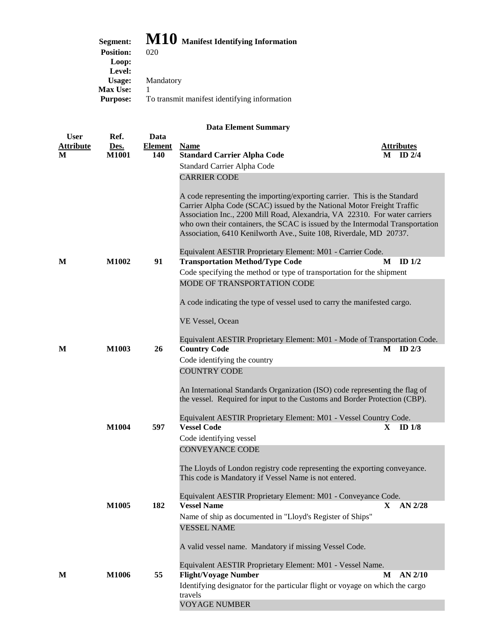| Segment:         | M10 Manifest Identifying Information         |
|------------------|----------------------------------------------|
| <b>Position:</b> | 020                                          |
| Loop:            |                                              |
| Level:           |                                              |
| Usage:           | Mandatory                                    |
| <b>Max Use:</b>  |                                              |
| <b>Purpose:</b>  | To transmit manifest identifying information |

| <b>User</b>           | Ref.                 | Data                  |                                                                                                                                                             |   |                               |
|-----------------------|----------------------|-----------------------|-------------------------------------------------------------------------------------------------------------------------------------------------------------|---|-------------------------------|
| <b>Attribute</b><br>M | Des.<br><b>M1001</b> | <b>Element</b><br>140 | <b>Name</b><br><b>Standard Carrier Alpha Code</b>                                                                                                           | M | <b>Attributes</b><br>ID $2/4$ |
|                       |                      |                       | Standard Carrier Alpha Code                                                                                                                                 |   |                               |
|                       |                      |                       | <b>CARRIER CODE</b>                                                                                                                                         |   |                               |
|                       |                      |                       |                                                                                                                                                             |   |                               |
|                       |                      |                       | A code representing the importing/exporting carrier. This is the Standard                                                                                   |   |                               |
|                       |                      |                       | Carrier Alpha Code (SCAC) issued by the National Motor Freight Traffic                                                                                      |   |                               |
|                       |                      |                       | Association Inc., 2200 Mill Road, Alexandria, VA 22310. For water carriers<br>who own their containers, the SCAC is issued by the Intermodal Transportation |   |                               |
|                       |                      |                       | Association, 6410 Kenilworth Ave., Suite 108, Riverdale, MD 20737.                                                                                          |   |                               |
|                       |                      |                       |                                                                                                                                                             |   |                               |
|                       |                      |                       | Equivalent AESTIR Proprietary Element: M01 - Carrier Code.                                                                                                  |   |                               |
| M                     | M1002                | 91                    | <b>Transportation Method/Type Code</b>                                                                                                                      | M | ID $1/2$                      |
|                       |                      |                       | Code specifying the method or type of transportation for the shipment                                                                                       |   |                               |
|                       |                      |                       | MODE OF TRANSPORTATION CODE                                                                                                                                 |   |                               |
|                       |                      |                       | A code indicating the type of vessel used to carry the manifested cargo.                                                                                    |   |                               |
|                       |                      |                       |                                                                                                                                                             |   |                               |
|                       |                      |                       | VE Vessel, Ocean                                                                                                                                            |   |                               |
|                       |                      |                       | Equivalent AESTIR Proprietary Element: M01 - Mode of Transportation Code.                                                                                   |   |                               |
| M                     | M1003                | 26                    | <b>Country Code</b>                                                                                                                                         |   | $M$ ID $2/3$                  |
|                       |                      |                       | Code identifying the country                                                                                                                                |   |                               |
|                       |                      |                       | <b>COUNTRY CODE</b>                                                                                                                                         |   |                               |
|                       |                      |                       |                                                                                                                                                             |   |                               |
|                       |                      |                       | An International Standards Organization (ISO) code representing the flag of<br>the vessel. Required for input to the Customs and Border Protection (CBP).   |   |                               |
|                       |                      |                       |                                                                                                                                                             |   |                               |
|                       |                      |                       | Equivalent AESTIR Proprietary Element: M01 - Vessel Country Code.                                                                                           |   |                               |
|                       | M1004                | 597                   | <b>Vessel Code</b>                                                                                                                                          | X | ID $1/8$                      |
|                       |                      |                       | Code identifying vessel                                                                                                                                     |   |                               |
|                       |                      |                       | <b>CONVEYANCE CODE</b>                                                                                                                                      |   |                               |
|                       |                      |                       | The Lloyds of London registry code representing the exporting conveyance.                                                                                   |   |                               |
|                       |                      |                       | This code is Mandatory if Vessel Name is not entered.                                                                                                       |   |                               |
|                       |                      |                       |                                                                                                                                                             |   |                               |
|                       | M1005                | 182                   | Equivalent AESTIR Proprietary Element: M01 - Conveyance Code.<br><b>Vessel Name</b>                                                                         | X | AN $2/28$                     |
|                       |                      |                       | Name of ship as documented in "Lloyd's Register of Ships"                                                                                                   |   |                               |
|                       |                      |                       | <b>VESSEL NAME</b>                                                                                                                                          |   |                               |
|                       |                      |                       |                                                                                                                                                             |   |                               |
|                       |                      |                       | A valid vessel name. Mandatory if missing Vessel Code.                                                                                                      |   |                               |
|                       |                      |                       | Equivalent AESTIR Proprietary Element: M01 - Vessel Name.                                                                                                   |   |                               |
| M                     | M1006                | 55                    | <b>Flight/Voyage Number</b>                                                                                                                                 | M | $AN$ 2/10                     |
|                       |                      |                       | Identifying designator for the particular flight or voyage on which the cargo                                                                               |   |                               |
|                       |                      |                       | travels                                                                                                                                                     |   |                               |
|                       |                      |                       | <b>VOYAGE NUMBER</b>                                                                                                                                        |   |                               |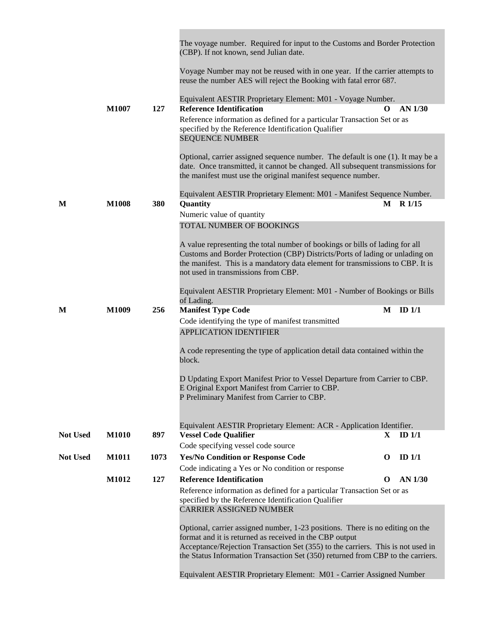|                 |              |      | The voyage number. Required for input to the Customs and Border Protection<br>(CBP). If not known, send Julian date.                                                                                                              |              |            |
|-----------------|--------------|------|-----------------------------------------------------------------------------------------------------------------------------------------------------------------------------------------------------------------------------------|--------------|------------|
|                 |              |      | Voyage Number may not be reused with in one year. If the carrier attempts to<br>reuse the number AES will reject the Booking with fatal error 687.                                                                                |              |            |
|                 |              |      | Equivalent AESTIR Proprietary Element: M01 - Voyage Number.                                                                                                                                                                       |              |            |
|                 | <b>M1007</b> | 127  | <b>Reference Identification</b>                                                                                                                                                                                                   | O            | AN 1/30    |
|                 |              |      | Reference information as defined for a particular Transaction Set or as<br>specified by the Reference Identification Qualifier                                                                                                    |              |            |
|                 |              |      | <b>SEQUENCE NUMBER</b>                                                                                                                                                                                                            |              |            |
|                 |              |      | Optional, carrier assigned sequence number. The default is one (1). It may be a<br>date. Once transmitted, it cannot be changed. All subsequent transmissions for<br>the manifest must use the original manifest sequence number. |              |            |
|                 |              |      | Equivalent AESTIR Proprietary Element: M01 - Manifest Sequence Number.                                                                                                                                                            |              |            |
| M               | <b>M1008</b> | 380  | Quantity                                                                                                                                                                                                                          |              | $M$ R 1/15 |
|                 |              |      | Numeric value of quantity<br>TOTAL NUMBER OF BOOKINGS                                                                                                                                                                             |              |            |
|                 |              |      |                                                                                                                                                                                                                                   |              |            |
|                 |              |      | A value representing the total number of bookings or bills of lading for all                                                                                                                                                      |              |            |
|                 |              |      | Customs and Border Protection (CBP) Districts/Ports of lading or unlading on<br>the manifest. This is a mandatory data element for transmissions to CBP. It is                                                                    |              |            |
|                 |              |      | not used in transmissions from CBP.                                                                                                                                                                                               |              |            |
|                 |              |      | Equivalent AESTIR Proprietary Element: M01 - Number of Bookings or Bills<br>of Lading.                                                                                                                                            |              |            |
| M               | M1009        | 256  | <b>Manifest Type Code</b>                                                                                                                                                                                                         | М            | ID $1/1$   |
|                 |              |      |                                                                                                                                                                                                                                   |              |            |
|                 |              |      | Code identifying the type of manifest transmitted                                                                                                                                                                                 |              |            |
|                 |              |      | <b>APPLICATION IDENTIFIER</b>                                                                                                                                                                                                     |              |            |
|                 |              |      | A code representing the type of application detail data contained within the<br>block.                                                                                                                                            |              |            |
|                 |              |      | D Updating Export Manifest Prior to Vessel Departure from Carrier to CBP.                                                                                                                                                         |              |            |
|                 |              |      | E Original Export Manifest from Carrier to CBP.                                                                                                                                                                                   |              |            |
|                 |              |      | P Preliminary Manifest from Carrier to CBP.                                                                                                                                                                                       |              |            |
|                 |              |      |                                                                                                                                                                                                                                   |              |            |
| <b>Not Used</b> | <b>M1010</b> | 897  | Equivalent AESTIR Proprietary Element: ACR - Application Identifier.<br><b>Vessel Code Qualifier</b>                                                                                                                              | $\mathbf{X}$ | $ID$ $1/1$ |
|                 |              |      | Code specifying vessel code source                                                                                                                                                                                                |              |            |
| <b>Not Used</b> | M1011        | 1073 | <b>Yes/No Condition or Response Code</b>                                                                                                                                                                                          | O            | $ID$ $1/1$ |
|                 |              |      | Code indicating a Yes or No condition or response                                                                                                                                                                                 |              |            |
|                 | M1012        | 127  | <b>Reference Identification</b><br>Reference information as defined for a particular Transaction Set or as                                                                                                                        | O            | AN 1/30    |
|                 |              |      | specified by the Reference Identification Qualifier<br><b>CARRIER ASSIGNED NUMBER</b>                                                                                                                                             |              |            |
|                 |              |      |                                                                                                                                                                                                                                   |              |            |
|                 |              |      | Optional, carrier assigned number, 1-23 positions. There is no editing on the<br>format and it is returned as received in the CBP output                                                                                          |              |            |
|                 |              |      | Acceptance/Rejection Transaction Set (355) to the carriers. This is not used in<br>the Status Information Transaction Set (350) returned from CBP to the carriers.                                                                |              |            |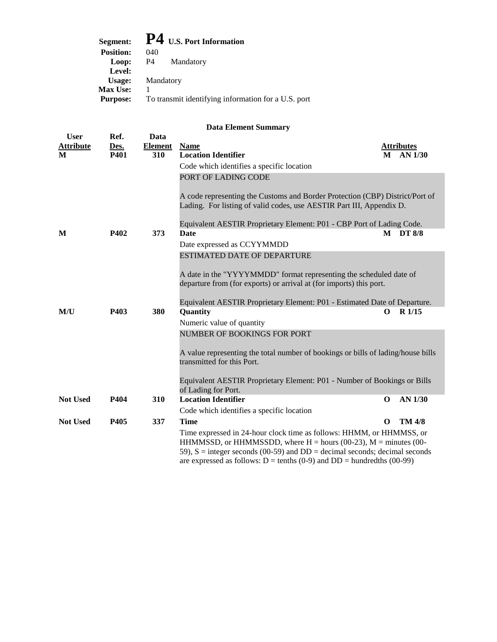| $P4$ U.S. Port Information                                             |
|------------------------------------------------------------------------|
| <b>Position:</b><br>040                                                |
| P4<br>Mandatory<br>Loop:                                               |
| Level:                                                                 |
| Mandatory<br>Usage:                                                    |
| <b>Max Use:</b>                                                        |
| To transmit identifying information for a U.S. port<br><b>Purpose:</b> |

| <b>User</b>      | Ref.        | Data           |                                                                                                                |          |                   |
|------------------|-------------|----------------|----------------------------------------------------------------------------------------------------------------|----------|-------------------|
| <b>Attribute</b> | Des.        | <b>Element</b> | <b>Name</b>                                                                                                    |          | <b>Attributes</b> |
| M                | <b>P401</b> | 310            | <b>Location Identifier</b>                                                                                     | M        | AN 1/30           |
|                  |             |                | Code which identifies a specific location                                                                      |          |                   |
|                  |             |                | PORT OF LADING CODE                                                                                            |          |                   |
|                  |             |                | A code representing the Customs and Border Protection (CBP) District/Port of                                   |          |                   |
|                  |             |                | Lading. For listing of valid codes, use AESTIR Part III, Appendix D.                                           |          |                   |
|                  |             |                | Equivalent AESTIR Proprietary Element: P01 - CBP Port of Lading Code.                                          |          |                   |
| M                | P402        | 373            | <b>Date</b>                                                                                                    | M        | DT 8/8            |
|                  |             |                | Date expressed as CCYYMMDD                                                                                     |          |                   |
|                  |             |                | <b>ESTIMATED DATE OF DEPARTURE</b>                                                                             |          |                   |
|                  |             |                | A date in the "YYYYMMDD" format representing the scheduled date of                                             |          |                   |
|                  |             |                | departure from (for exports) or arrival at (for imports) this port.                                            |          |                   |
|                  |             |                | Equivalent AESTIR Proprietary Element: P01 - Estimated Date of Departure.                                      |          |                   |
| M/U              | P403        | 380            | <b>Quantity</b>                                                                                                | 0        | $R$ 1/15          |
|                  |             |                | Numeric value of quantity                                                                                      |          |                   |
|                  |             |                | NUMBER OF BOOKINGS FOR PORT                                                                                    |          |                   |
|                  |             |                | A value representing the total number of bookings or bills of lading/house bills<br>transmitted for this Port. |          |                   |
|                  |             |                | Equivalent AESTIR Proprietary Element: P01 - Number of Bookings or Bills<br>of Lading for Port.                |          |                   |
| <b>Not Used</b>  | P404        | 310            | <b>Location Identifier</b>                                                                                     | $\Omega$ | AN 1/30           |
|                  |             |                | Code which identifies a specific location                                                                      |          |                   |
| <b>Not Used</b>  | P405        | 337            | <b>Time</b>                                                                                                    | $\Omega$ | <b>TM 4/8</b>     |
|                  |             |                | Time expressed in 24-hour clock time as follows: HHMM, or HHMMSS, or                                           |          |                   |
|                  |             |                | HHMMSSD, or HHMMSSDD, where $H =$ hours (00-23), $M =$ minutes (00-                                            |          |                   |
|                  |             |                | 59), $S =$ integer seconds (00-59) and $DD =$ decimal seconds; decimal seconds                                 |          |                   |
|                  |             |                | are expressed as follows: $D = \text{tenths} (0-9)$ and $DD = \text{hundredths} (00-99)$                       |          |                   |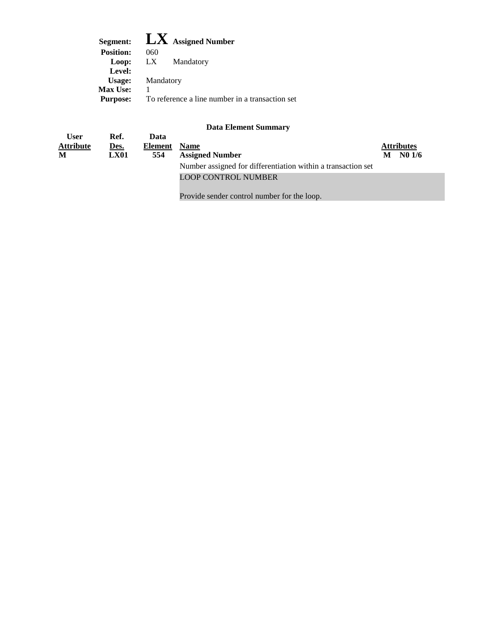|                  | Segment: $\mathbf{L} \mathbf{X}$ Assigned Number |
|------------------|--------------------------------------------------|
| <b>Position:</b> | 060                                              |
| Loop:            | LX Mandatory                                     |
| Level:           |                                                  |
| Usage:           | Mandatory                                        |
| <b>Max Use:</b>  |                                                  |
| <b>Purpose:</b>  | To reference a line number in a transaction set  |

| <b>User</b>      | Ref. | Data    |                                                              |   |                   |  |
|------------------|------|---------|--------------------------------------------------------------|---|-------------------|--|
| <b>Attribute</b> | Des. | Element | <b>Name</b>                                                  |   | <b>Attributes</b> |  |
| M                | LX01 | 554     | <b>Assigned Number</b>                                       | М | NO 1/6            |  |
|                  |      |         | Number assigned for differentiation within a transaction set |   |                   |  |
|                  |      |         | <b>LOOP CONTROL NUMBER</b>                                   |   |                   |  |

Provide sender control number for the loop.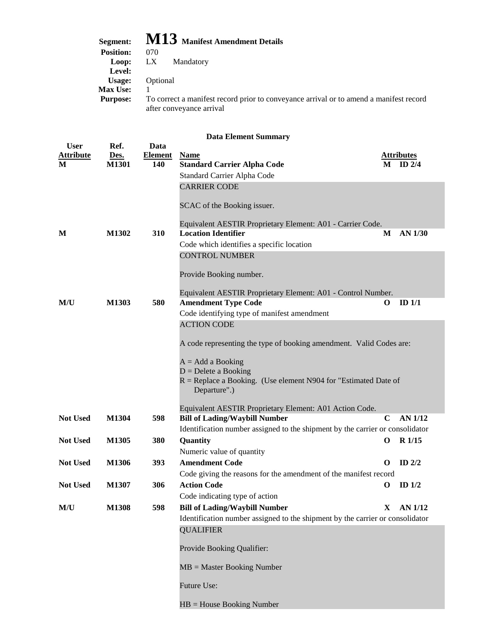| Segment:         | $\bf M13$ Manifest Amendment Details                                                                               |
|------------------|--------------------------------------------------------------------------------------------------------------------|
| <b>Position:</b> | 070                                                                                                                |
| Loop:            | LX<br>Mandatory                                                                                                    |
| Level:           |                                                                                                                    |
| Usage:           | Optional                                                                                                           |
| <b>Max Use:</b>  |                                                                                                                    |
| <b>Purpose:</b>  | To correct a manifest record prior to conveyance arrival or to amend a manifest record<br>after conveyance arrival |

|                  | <b>Data Element Summary</b> |                |                                                                                                 |             |                   |  |
|------------------|-----------------------------|----------------|-------------------------------------------------------------------------------------------------|-------------|-------------------|--|
| <b>User</b>      | Ref.                        | Data           |                                                                                                 |             |                   |  |
| <b>Attribute</b> | Des.                        | <b>Element</b> | <b>Name</b>                                                                                     |             | <b>Attributes</b> |  |
| М                | M1301                       | 140            | <b>Standard Carrier Alpha Code</b>                                                              |             | $M$ ID 2/4        |  |
|                  |                             |                | Standard Carrier Alpha Code                                                                     |             |                   |  |
|                  |                             |                | <b>CARRIER CODE</b>                                                                             |             |                   |  |
|                  |                             |                | SCAC of the Booking issuer.                                                                     |             |                   |  |
|                  |                             |                | Equivalent AESTIR Proprietary Element: A01 - Carrier Code.                                      |             |                   |  |
| M                | M1302                       | 310            | <b>Location Identifier</b>                                                                      | М           | AN 1/30           |  |
|                  |                             |                | Code which identifies a specific location                                                       |             |                   |  |
|                  |                             |                | <b>CONTROL NUMBER</b>                                                                           |             |                   |  |
|                  |                             |                |                                                                                                 |             |                   |  |
|                  |                             |                | Provide Booking number.                                                                         |             |                   |  |
|                  |                             |                | Equivalent AESTIR Proprietary Element: A01 - Control Number.                                    |             |                   |  |
| M/U              | M1303                       | 580            | <b>Amendment Type Code</b>                                                                      | O           | ID $1/1$          |  |
|                  |                             |                | Code identifying type of manifest amendment                                                     |             |                   |  |
|                  |                             |                | <b>ACTION CODE</b>                                                                              |             |                   |  |
|                  |                             |                |                                                                                                 |             |                   |  |
|                  |                             |                | A code representing the type of booking amendment. Valid Codes are:                             |             |                   |  |
|                  |                             |                | $A = Add a Booking$                                                                             |             |                   |  |
|                  |                             |                | $D =$ Delete a Booking                                                                          |             |                   |  |
|                  |                             |                | R = Replace a Booking. (Use element N904 for "Estimated Date of                                 |             |                   |  |
|                  |                             |                | Departure".)                                                                                    |             |                   |  |
|                  |                             |                |                                                                                                 |             |                   |  |
| <b>Not Used</b>  | M1304                       | 598            | Equivalent AESTIR Proprietary Element: A01 Action Code.<br><b>Bill of Lading/Waybill Number</b> | $\mathbf C$ | AN 1/12           |  |
|                  |                             |                | Identification number assigned to the shipment by the carrier or consolidator                   |             |                   |  |
| <b>Not Used</b>  | M1305                       | 380            | Quantity                                                                                        | $\mathbf 0$ | $R$ 1/15          |  |
|                  |                             |                | Numeric value of quantity                                                                       |             |                   |  |
| <b>Not Used</b>  | M1306                       | 393            | <b>Amendment Code</b>                                                                           | $\mathbf 0$ | ID $2/2$          |  |
|                  |                             |                | Code giving the reasons for the amendment of the manifest record                                |             |                   |  |
| <b>Not Used</b>  | M1307                       | 306            | <b>Action Code</b>                                                                              | $\mathbf 0$ | ID $1/2$          |  |
|                  |                             |                | Code indicating type of action                                                                  |             |                   |  |
| M/U              | M1308                       | 598            | <b>Bill of Lading/Waybill Number</b>                                                            | X           | AN 1/12           |  |
|                  |                             |                | Identification number assigned to the shipment by the carrier or consolidator                   |             |                   |  |
|                  |                             |                | <b>QUALIFIER</b>                                                                                |             |                   |  |
|                  |                             |                |                                                                                                 |             |                   |  |
|                  |                             |                | Provide Booking Qualifier:                                                                      |             |                   |  |
|                  |                             |                | $MB = Master$ Booking Number                                                                    |             |                   |  |
|                  |                             |                |                                                                                                 |             |                   |  |
|                  |                             |                | Future Use:                                                                                     |             |                   |  |
|                  |                             |                | $HB = House Booking Number$                                                                     |             |                   |  |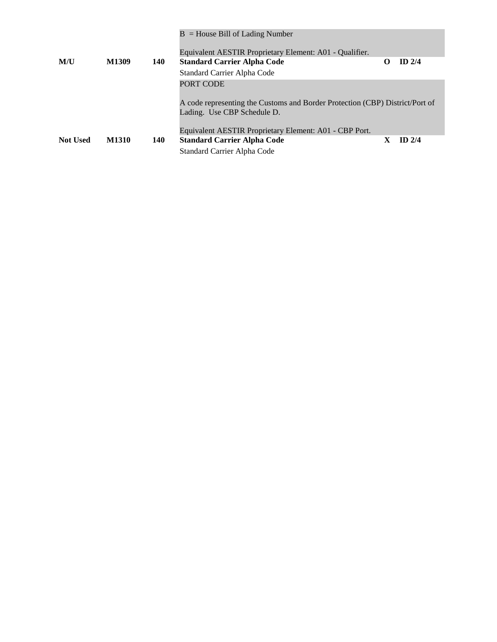|                 |       |            | $B =$ House Bill of Lading Number<br>Equivalent AESTIR Proprietary Element: A01 - Qualifier.                                                                                       |   |          |
|-----------------|-------|------------|------------------------------------------------------------------------------------------------------------------------------------------------------------------------------------|---|----------|
| M/U             | M1309 | <b>140</b> | <b>Standard Carrier Alpha Code</b>                                                                                                                                                 | O | $ID$ 2/4 |
|                 |       |            | Standard Carrier Alpha Code                                                                                                                                                        |   |          |
|                 |       |            | PORT CODE<br>A code representing the Customs and Border Protection (CBP) District/Port of<br>Lading. Use CBP Schedule D.<br>Equivalent AESTIR Proprietary Element: A01 - CBP Port. |   |          |
| <b>Not Used</b> | M1310 | 140        | <b>Standard Carrier Alpha Code</b>                                                                                                                                                 | X | $ID$ 2/4 |
|                 |       |            | Standard Carrier Alpha Code                                                                                                                                                        |   |          |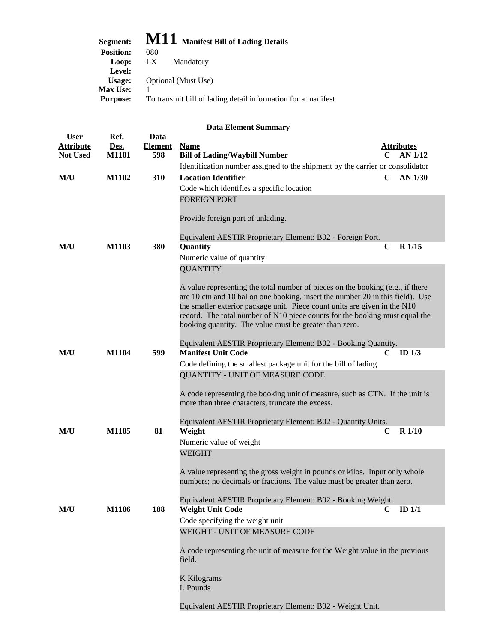## **Segment: M11 Manifest Bill of Lading Details**

| <b>Position:</b> | 080                                                          |
|------------------|--------------------------------------------------------------|
| Loop:            | LX -<br>Mandatory                                            |
| Level:           |                                                              |
| Usage:           | Optional (Must Use)                                          |
| <b>Max Use:</b>  |                                                              |
| <b>Purpose:</b>  | To transmit bill of lading detail information for a manifest |

| <b>User</b>                         | Ref.                 | Data                  |                                                                                                                                                                                                                                                                                                                                                                                        |                                   |
|-------------------------------------|----------------------|-----------------------|----------------------------------------------------------------------------------------------------------------------------------------------------------------------------------------------------------------------------------------------------------------------------------------------------------------------------------------------------------------------------------------|-----------------------------------|
| <b>Attribute</b><br><b>Not Used</b> | Des.<br><b>M1101</b> | <b>Element</b><br>598 | <b>Name</b><br><b>Bill of Lading/Waybill Number</b>                                                                                                                                                                                                                                                                                                                                    | <b>Attributes</b><br>AN 1/12<br>C |
|                                     |                      |                       | Identification number assigned to the shipment by the carrier or consolidator                                                                                                                                                                                                                                                                                                          |                                   |
| M/U                                 | M1102                | 310                   | <b>Location Identifier</b>                                                                                                                                                                                                                                                                                                                                                             | $\mathbf C$<br>$AN$ 1/30          |
|                                     |                      |                       | Code which identifies a specific location                                                                                                                                                                                                                                                                                                                                              |                                   |
|                                     |                      |                       | <b>FOREIGN PORT</b>                                                                                                                                                                                                                                                                                                                                                                    |                                   |
|                                     |                      |                       | Provide foreign port of unlading.                                                                                                                                                                                                                                                                                                                                                      |                                   |
|                                     |                      |                       | Equivalent AESTIR Proprietary Element: B02 - Foreign Port.                                                                                                                                                                                                                                                                                                                             |                                   |
| M/U                                 | M1103                | 380                   | Quantity                                                                                                                                                                                                                                                                                                                                                                               | $\mathbf C$<br>R 1/15             |
|                                     |                      |                       | Numeric value of quantity<br><b>QUANTITY</b>                                                                                                                                                                                                                                                                                                                                           |                                   |
|                                     |                      |                       |                                                                                                                                                                                                                                                                                                                                                                                        |                                   |
|                                     |                      |                       | A value representing the total number of pieces on the booking (e.g., if there<br>are 10 ctn and 10 bal on one booking, insert the number 20 in this field). Use<br>the smaller exterior package unit. Piece count units are given in the N10<br>record. The total number of N10 piece counts for the booking must equal the<br>booking quantity. The value must be greater than zero. |                                   |
|                                     |                      |                       | Equivalent AESTIR Proprietary Element: B02 - Booking Quantity.                                                                                                                                                                                                                                                                                                                         |                                   |
| M/U                                 | M1104                | 599                   | <b>Manifest Unit Code</b>                                                                                                                                                                                                                                                                                                                                                              | ID $1/3$<br>$\mathbf C$           |
|                                     |                      |                       | Code defining the smallest package unit for the bill of lading                                                                                                                                                                                                                                                                                                                         |                                   |
|                                     |                      |                       | QUANTITY - UNIT OF MEASURE CODE                                                                                                                                                                                                                                                                                                                                                        |                                   |
|                                     |                      |                       | A code representing the booking unit of measure, such as CTN. If the unit is<br>more than three characters, truncate the excess.                                                                                                                                                                                                                                                       |                                   |
|                                     |                      |                       | Equivalent AESTIR Proprietary Element: B02 - Quantity Units.                                                                                                                                                                                                                                                                                                                           |                                   |
| M/U                                 | M1105                | 81                    | Weight                                                                                                                                                                                                                                                                                                                                                                                 | <b>R</b> 1/10<br>$\mathbf C$      |
|                                     |                      |                       | Numeric value of weight                                                                                                                                                                                                                                                                                                                                                                |                                   |
|                                     |                      |                       | <b>WEIGHT</b>                                                                                                                                                                                                                                                                                                                                                                          |                                   |
|                                     |                      |                       | A value representing the gross weight in pounds or kilos. Input only whole<br>numbers; no decimals or fractions. The value must be greater than zero.                                                                                                                                                                                                                                  |                                   |
|                                     |                      |                       | Equivalent AESTIR Proprietary Element: B02 - Booking Weight.                                                                                                                                                                                                                                                                                                                           |                                   |
| M/U                                 | <b>M1106</b>         | 188                   | <b>Weight Unit Code</b>                                                                                                                                                                                                                                                                                                                                                                | ID $1/1$<br>C.                    |
|                                     |                      |                       | Code specifying the weight unit                                                                                                                                                                                                                                                                                                                                                        |                                   |
|                                     |                      |                       | WEIGHT - UNIT OF MEASURE CODE                                                                                                                                                                                                                                                                                                                                                          |                                   |
|                                     |                      |                       | A code representing the unit of measure for the Weight value in the previous<br>field.                                                                                                                                                                                                                                                                                                 |                                   |
|                                     |                      |                       | <b>K</b> Kilograms<br>L Pounds                                                                                                                                                                                                                                                                                                                                                         |                                   |
|                                     |                      |                       | Equivalent AESTIR Proprietary Element: B02 - Weight Unit.                                                                                                                                                                                                                                                                                                                              |                                   |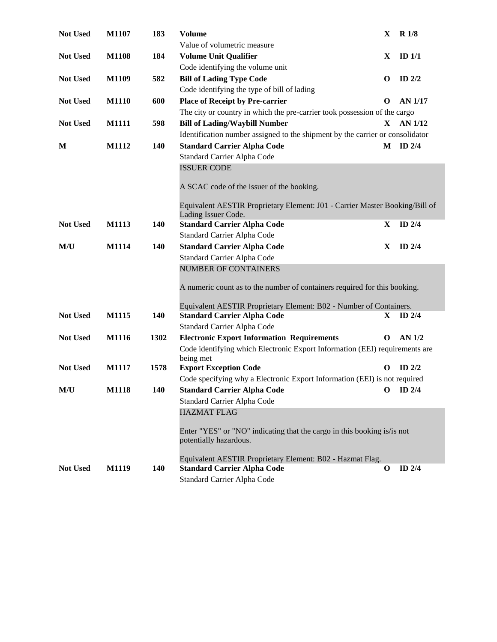| Not Used        | M1107        | 183        | <b>Volume</b>                                                                                      | X            | <b>R</b> 1/8      |
|-----------------|--------------|------------|----------------------------------------------------------------------------------------------------|--------------|-------------------|
|                 |              |            | Value of volumetric measure                                                                        |              |                   |
| <b>Not Used</b> | <b>M1108</b> | 184        | <b>Volume Unit Qualifier</b>                                                                       | X            | ID <sub>1/1</sub> |
|                 |              |            | Code identifying the volume unit                                                                   |              |                   |
| <b>Not Used</b> | M1109        | 582        | <b>Bill of Lading Type Code</b>                                                                    | $\mathbf 0$  | ID $2/2$          |
|                 |              |            | Code identifying the type of bill of lading                                                        |              |                   |
| <b>Not Used</b> | <b>M1110</b> | 600        | <b>Place of Receipt by Pre-carrier</b>                                                             | $\Omega$     | <b>AN 1/17</b>    |
|                 |              |            | The city or country in which the pre-carrier took possession of the cargo                          |              |                   |
| Not Used        | <b>M1111</b> | 598        | <b>Bill of Lading/Waybill Number</b>                                                               | $\mathbf{X}$ | AN 1/12           |
|                 |              |            | Identification number assigned to the shipment by the carrier or consolidator                      |              |                   |
| M               | M1112        | 140        | <b>Standard Carrier Alpha Code</b>                                                                 |              | M ID 2/4          |
|                 |              |            | Standard Carrier Alpha Code                                                                        |              |                   |
|                 |              |            | <b>ISSUER CODE</b>                                                                                 |              |                   |
|                 |              |            |                                                                                                    |              |                   |
|                 |              |            | A SCAC code of the issuer of the booking.                                                          |              |                   |
|                 |              |            |                                                                                                    |              |                   |
|                 |              |            | Equivalent AESTIR Proprietary Element: J01 - Carrier Master Booking/Bill of<br>Lading Issuer Code. |              |                   |
| Not Used        | M1113        | 140        | <b>Standard Carrier Alpha Code</b>                                                                 | X            | ID $2/4$          |
|                 |              |            | Standard Carrier Alpha Code                                                                        |              |                   |
| M/U             | M1114        | 140        | <b>Standard Carrier Alpha Code</b>                                                                 | X            | ID $2/4$          |
|                 |              |            | Standard Carrier Alpha Code                                                                        |              |                   |
|                 |              |            | <b>NUMBER OF CONTAINERS</b>                                                                        |              |                   |
|                 |              |            |                                                                                                    |              |                   |
|                 |              |            | A numeric count as to the number of containers required for this booking.                          |              |                   |
|                 |              |            |                                                                                                    |              |                   |
|                 | M1115        |            | Equivalent AESTIR Proprietary Element: B02 - Number of Containers.                                 |              |                   |
| <b>Not Used</b> |              | <b>140</b> | <b>Standard Carrier Alpha Code</b>                                                                 |              | $X$ ID 2/4        |
|                 |              |            | Standard Carrier Alpha Code                                                                        |              |                   |
| Not Used        | M1116        | 1302       | <b>Electronic Export Information Requirements</b>                                                  | $\mathbf{o}$ | <b>AN 1/2</b>     |
|                 |              |            | Code identifying which Electronic Export Information (EEI) requirements are<br>being met           |              |                   |
| Not Used        | M1117        | 1578       | <b>Export Exception Code</b>                                                                       | $\mathbf{o}$ | ID $2/2$          |
|                 |              |            | Code specifying why a Electronic Export Information (EEI) is not required                          |              |                   |
| M/U             | M1118        | 140        | <b>Standard Carrier Alpha Code</b>                                                                 |              | $O$ ID 2/4        |
|                 |              |            | Standard Carrier Alpha Code                                                                        |              |                   |
|                 |              |            | <b>HAZMAT FLAG</b>                                                                                 |              |                   |
|                 |              |            |                                                                                                    |              |                   |
|                 |              |            | Enter "YES" or "NO" indicating that the cargo in this booking is/is not                            |              |                   |
|                 |              |            | potentially hazardous.                                                                             |              |                   |
|                 |              |            |                                                                                                    |              |                   |
| <b>Not Used</b> | M1119        | <b>140</b> | Equivalent AESTIR Proprietary Element: B02 - Hazmat Flag.<br><b>Standard Carrier Alpha Code</b>    | $\mathbf{o}$ | ID $2/4$          |
|                 |              |            | Standard Carrier Alpha Code                                                                        |              |                   |
|                 |              |            |                                                                                                    |              |                   |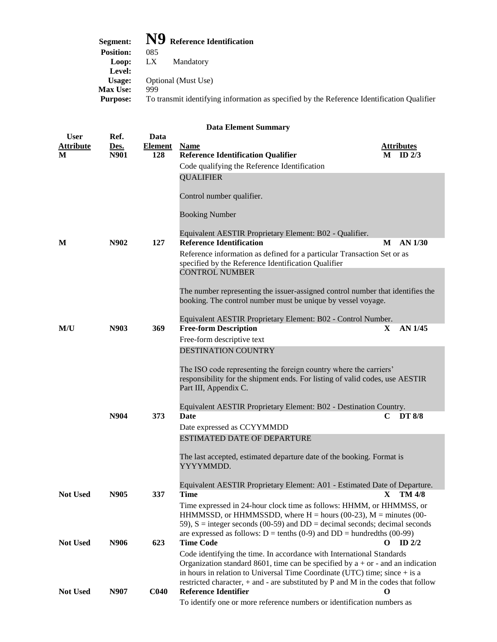| Segment:         | $\bf{N9}$ Reference Identification                                                         |
|------------------|--------------------------------------------------------------------------------------------|
| <b>Position:</b> | 085                                                                                        |
| Loop:            | LX.<br>Mandatory                                                                           |
| Level:           |                                                                                            |
| Usage:           | Optional (Must Use)                                                                        |
| <b>Max Use:</b>  | 999                                                                                        |
| <b>Purpose:</b>  | To transmit identifying information as specified by the Reference Identification Qualifier |
|                  |                                                                                            |

| <b>User</b><br><b>Attribute</b> | Ref.<br>Des. | Data<br><b>Element</b> | <b>Name</b>                                                                                                                                                                                                                                                                                                                         | <u>Attributes</u>  |
|---------------------------------|--------------|------------------------|-------------------------------------------------------------------------------------------------------------------------------------------------------------------------------------------------------------------------------------------------------------------------------------------------------------------------------------|--------------------|
| M                               | N901         | 128                    | <b>Reference Identification Qualifier</b>                                                                                                                                                                                                                                                                                           | ID $2/3$<br>M      |
|                                 |              |                        | Code qualifying the Reference Identification                                                                                                                                                                                                                                                                                        |                    |
|                                 |              |                        | <b>QUALIFIER</b>                                                                                                                                                                                                                                                                                                                    |                    |
|                                 |              |                        | Control number qualifier.                                                                                                                                                                                                                                                                                                           |                    |
|                                 |              |                        | <b>Booking Number</b>                                                                                                                                                                                                                                                                                                               |                    |
| M                               | N902         | 127                    | Equivalent AESTIR Proprietary Element: B02 - Qualifier.<br><b>Reference Identification</b>                                                                                                                                                                                                                                          | $AN$ 1/30<br>M     |
|                                 |              |                        | Reference information as defined for a particular Transaction Set or as<br>specified by the Reference Identification Qualifier<br><b>CONTROL NUMBER</b>                                                                                                                                                                             |                    |
|                                 |              |                        |                                                                                                                                                                                                                                                                                                                                     |                    |
|                                 |              |                        | The number representing the issuer-assigned control number that identifies the<br>booking. The control number must be unique by vessel voyage.                                                                                                                                                                                      |                    |
|                                 |              |                        | Equivalent AESTIR Proprietary Element: B02 - Control Number.                                                                                                                                                                                                                                                                        |                    |
| M/U                             | N903         | 369                    | <b>Free-form Description</b>                                                                                                                                                                                                                                                                                                        | AN 1/45<br>X.      |
|                                 |              |                        | Free-form descriptive text                                                                                                                                                                                                                                                                                                          |                    |
|                                 |              |                        | <b>DESTINATION COUNTRY</b>                                                                                                                                                                                                                                                                                                          |                    |
|                                 |              |                        | The ISO code representing the foreign country where the carriers'<br>responsibility for the shipment ends. For listing of valid codes, use AESTIR<br>Part III, Appendix C.                                                                                                                                                          |                    |
|                                 |              |                        | Equivalent AESTIR Proprietary Element: B02 - Destination Country.                                                                                                                                                                                                                                                                   |                    |
|                                 | N904         | 373                    | <b>Date</b>                                                                                                                                                                                                                                                                                                                         | <b>DT 8/8</b><br>C |
|                                 |              |                        | Date expressed as CCYYMMDD                                                                                                                                                                                                                                                                                                          |                    |
|                                 |              |                        | <b>ESTIMATED DATE OF DEPARTURE</b>                                                                                                                                                                                                                                                                                                  |                    |
|                                 |              |                        | The last accepted, estimated departure date of the booking. Format is<br>YYYYMMDD.                                                                                                                                                                                                                                                  |                    |
|                                 |              |                        | Equivalent AESTIR Proprietary Element: A01 - Estimated Date of Departure.                                                                                                                                                                                                                                                           |                    |
| <b>Not Used</b>                 | N905         | 337                    | <b>Time</b>                                                                                                                                                                                                                                                                                                                         | $X$ TM 4/8         |
|                                 |              |                        | Time expressed in 24-hour clock time as follows: HHMM, or HHMMSS, or<br>HHMMSSD, or HHMMSSDD, where $H =$ hours (00-23), $M =$ minutes (00-<br>59), $S =$ integer seconds (00-59) and $DD =$ decimal seconds; decimal seconds<br>are expressed as follows: $D = \text{tenths} (0-9)$ and $DD = \text{hundredths} (00-99)$           |                    |
| <b>Not Used</b>                 | N906         | 623                    | <b>Time Code</b>                                                                                                                                                                                                                                                                                                                    | ID $2/2$<br>O      |
|                                 |              |                        | Code identifying the time. In accordance with International Standards<br>Organization standard 8601, time can be specified by $a + or -$ and an indication<br>in hours in relation to Universal Time Coordinate (UTC) time; since $+$ is a<br>restricted character, $+$ and $-$ are substituted by P and M in the codes that follow |                    |
| <b>Not Used</b>                 | N907         | <b>C040</b>            | <b>Reference Identifier</b>                                                                                                                                                                                                                                                                                                         | $\bf{0}$           |

To identify one or more reference numbers or identification numbers as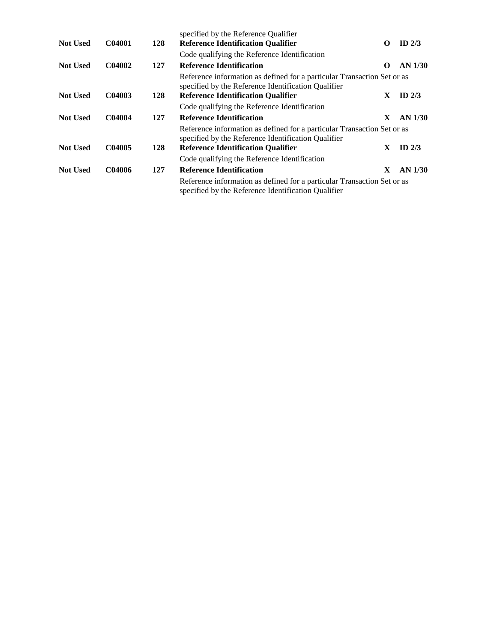| <b>Not Used</b> | C04001 | 128 | specified by the Reference Qualifier<br><b>Reference Identification Qualifier</b><br>Code qualifying the Reference Identification                                           | $\Omega$ | ID $2/3$  |
|-----------------|--------|-----|-----------------------------------------------------------------------------------------------------------------------------------------------------------------------------|----------|-----------|
| <b>Not Used</b> | C04002 | 127 | <b>Reference Identification</b>                                                                                                                                             | О        | $AN$ 1/30 |
| <b>Not Used</b> | C04003 | 128 | Reference information as defined for a particular Transaction Set or as<br>specified by the Reference Identification Qualifier<br><b>Reference Identification Qualifier</b> | X        | ID $2/3$  |
|                 |        |     | Code qualifying the Reference Identification                                                                                                                                |          |           |
| <b>Not Used</b> | C04004 | 127 | <b>Reference Identification</b>                                                                                                                                             | X        | $AN$ 1/30 |
|                 |        |     | Reference information as defined for a particular Transaction Set or as<br>specified by the Reference Identification Qualifier                                              |          |           |
| <b>Not Used</b> | C04005 | 128 | <b>Reference Identification Qualifier</b>                                                                                                                                   | X        | ID $2/3$  |
|                 |        |     | Code qualifying the Reference Identification                                                                                                                                |          |           |
| <b>Not Used</b> | C04006 | 127 | <b>Reference Identification</b>                                                                                                                                             | X        | $AN$ 1/30 |
|                 |        |     | Reference information as defined for a particular Transaction Set or as<br>specified by the Reference Identification Qualifier                                              |          |           |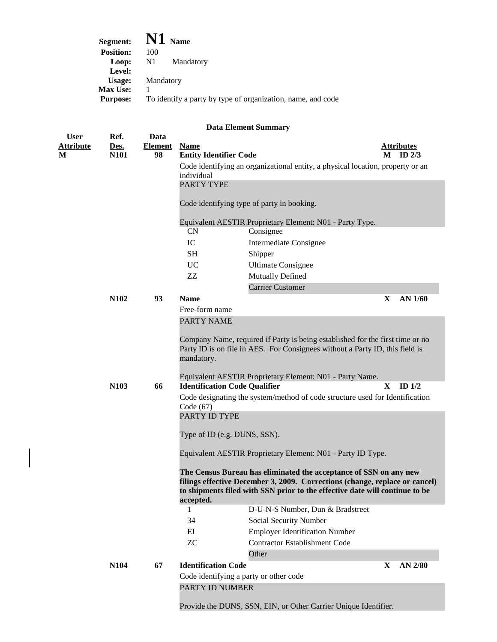| Segment:         | $\mathbf{N1}_{\text{Name}}$                                 |
|------------------|-------------------------------------------------------------|
| <b>Position:</b> | 100                                                         |
| Loop:            | $\mathbf{N}1$<br>Mandatory                                  |
| Level:           |                                                             |
| Usage:           | Mandatory                                                   |
| <b>Max Use:</b>  |                                                             |
| <b>Purpose:</b>  | To identify a party by type of organization, name, and code |

| <b>User</b>      | Ref. | Data           |                                        |                                                                                                                                                            |              |                   |
|------------------|------|----------------|----------------------------------------|------------------------------------------------------------------------------------------------------------------------------------------------------------|--------------|-------------------|
| <b>Attribute</b> | Des. | <b>Element</b> | <b>Name</b>                            |                                                                                                                                                            |              | <b>Attributes</b> |
| M                | N101 | 98             | <b>Entity Identifier Code</b>          |                                                                                                                                                            | М            | ID $2/3$          |
|                  |      |                | individual                             | Code identifying an organizational entity, a physical location, property or an                                                                             |              |                   |
|                  |      |                | PARTY TYPE                             |                                                                                                                                                            |              |                   |
|                  |      |                |                                        |                                                                                                                                                            |              |                   |
|                  |      |                |                                        | Code identifying type of party in booking.                                                                                                                 |              |                   |
|                  |      |                |                                        | Equivalent AESTIR Proprietary Element: N01 - Party Type.                                                                                                   |              |                   |
|                  |      |                | <b>CN</b>                              | Consignee                                                                                                                                                  |              |                   |
|                  |      |                | IC                                     | <b>Intermediate Consignee</b>                                                                                                                              |              |                   |
|                  |      |                | SH                                     | Shipper                                                                                                                                                    |              |                   |
|                  |      |                | <b>UC</b>                              | <b>Ultimate Consignee</b>                                                                                                                                  |              |                   |
|                  |      |                | ZZ                                     | Mutually Defined                                                                                                                                           |              |                   |
|                  |      |                |                                        | <b>Carrier Customer</b>                                                                                                                                    |              |                   |
|                  | N102 | 93             | <b>Name</b>                            |                                                                                                                                                            | $\mathbf{X}$ | AN 1/60           |
|                  |      |                | Free-form name                         |                                                                                                                                                            |              |                   |
|                  |      |                | <b>PARTY NAME</b>                      |                                                                                                                                                            |              |                   |
|                  |      |                |                                        | Company Name, required if Party is being established for the first time or no                                                                              |              |                   |
|                  |      |                |                                        | Party ID is on file in AES. For Consignees without a Party ID, this field is                                                                               |              |                   |
|                  |      |                | mandatory.                             |                                                                                                                                                            |              |                   |
|                  |      |                |                                        |                                                                                                                                                            |              |                   |
|                  |      |                | <b>Identification Code Qualifier</b>   | Equivalent AESTIR Proprietary Element: N01 - Party Name.                                                                                                   | $\mathbf{X}$ | ID $1/2$          |
|                  | N103 | 66             |                                        | Code designating the system/method of code structure used for Identification                                                                               |              |                   |
|                  |      |                | Code $(67)$                            |                                                                                                                                                            |              |                   |
|                  |      |                | PARTY ID TYPE                          |                                                                                                                                                            |              |                   |
|                  |      |                |                                        |                                                                                                                                                            |              |                   |
|                  |      |                | Type of ID (e.g. DUNS, SSN).           |                                                                                                                                                            |              |                   |
|                  |      |                |                                        | Equivalent AESTIR Proprietary Element: N01 - Party ID Type.                                                                                                |              |                   |
|                  |      |                |                                        |                                                                                                                                                            |              |                   |
|                  |      |                |                                        | The Census Bureau has eliminated the acceptance of SSN on any new                                                                                          |              |                   |
|                  |      |                |                                        | filings effective December 3, 2009. Corrections (change, replace or cancel)<br>to shipments filed with SSN prior to the effective date will continue to be |              |                   |
|                  |      |                | accepted.                              |                                                                                                                                                            |              |                   |
|                  |      |                |                                        | D-U-N-S Number, Dun & Bradstreet                                                                                                                           |              |                   |
|                  |      |                | 34                                     | Social Security Number                                                                                                                                     |              |                   |
|                  |      |                | EI                                     | <b>Employer Identification Number</b>                                                                                                                      |              |                   |
|                  |      |                | <b>ZC</b>                              | <b>Contractor Establishment Code</b>                                                                                                                       |              |                   |
|                  |      |                |                                        | Other                                                                                                                                                      |              |                   |
|                  | N104 | 67             | <b>Identification Code</b>             |                                                                                                                                                            | X            | AN 2/80           |
|                  |      |                | Code identifying a party or other code |                                                                                                                                                            |              |                   |
|                  |      |                | PARTY ID NUMBER                        |                                                                                                                                                            |              |                   |
|                  |      |                |                                        |                                                                                                                                                            |              |                   |
|                  |      |                |                                        | Provide the DUNS, SSN, EIN, or Other Carrier Unique Identifier.                                                                                            |              |                   |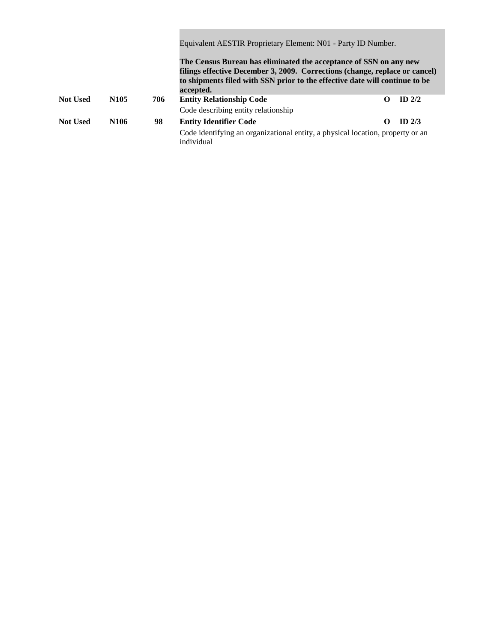|                 |                  |     | Equivalent AESTIR Proprietary Element: N01 - Party ID Number.                                                                                                                                                                                |          |          |  |  |
|-----------------|------------------|-----|----------------------------------------------------------------------------------------------------------------------------------------------------------------------------------------------------------------------------------------------|----------|----------|--|--|
|                 |                  |     | The Census Bureau has eliminated the acceptance of SSN on any new<br>filings effective December 3, 2009. Corrections (change, replace or cancel)<br>to shipments filed with SSN prior to the effective date will continue to be<br>accepted. |          |          |  |  |
| <b>Not Used</b> | N <sub>105</sub> | 706 | <b>Entity Relationship Code</b>                                                                                                                                                                                                              | O        | $ID$ 2/2 |  |  |
|                 |                  |     | Code describing entity relationship                                                                                                                                                                                                          |          |          |  |  |
| <b>Not Used</b> | N <sub>106</sub> | 98  | <b>Entity Identifier Code</b>                                                                                                                                                                                                                | $\Omega$ | $ID$ 2/3 |  |  |
|                 |                  |     | Code identifying an organizational entity, a physical location, property or an<br>individual                                                                                                                                                 |          |          |  |  |

**College**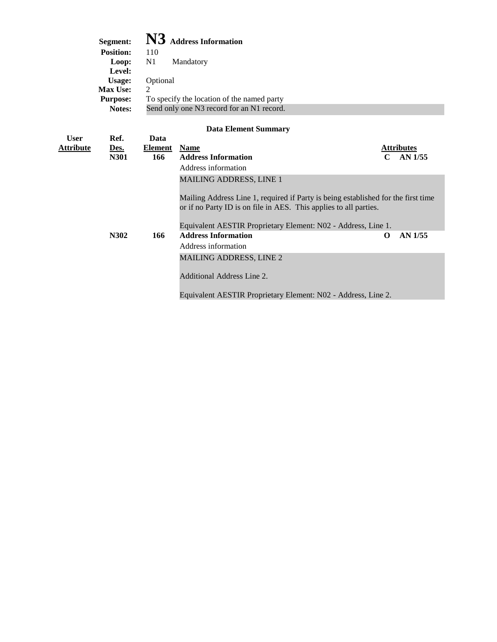|                  | Segment:<br>Position:<br>Loop:<br>Level:<br><b>Usage:</b><br>Max Use:<br><b>Purpose:</b><br>Notes: | 110<br>N1<br>Optional<br>2 | N3 Address Information<br>Mandatory<br>To specify the location of the named party<br>Send only one N3 record for an N1 record. |                                    |
|------------------|----------------------------------------------------------------------------------------------------|----------------------------|--------------------------------------------------------------------------------------------------------------------------------|------------------------------------|
|                  |                                                                                                    |                            |                                                                                                                                |                                    |
|                  |                                                                                                    |                            | <b>Data Element Summary</b>                                                                                                    |                                    |
| <b>User</b>      | Ref.                                                                                               | Data                       |                                                                                                                                |                                    |
| <u>Attribute</u> | Des.                                                                                               | <b>Element</b><br>166      | <b>Name</b><br><b>Address Information</b>                                                                                      | <b>Attributes</b><br>$C$ AN $1/55$ |
|                  | N301                                                                                               |                            | Address information                                                                                                            |                                    |
|                  |                                                                                                    |                            |                                                                                                                                |                                    |
|                  |                                                                                                    |                            | <b>MAILING ADDRESS, LINE 1</b>                                                                                                 |                                    |
|                  |                                                                                                    |                            | Mailing Address Line 1, required if Party is being established for the first time                                              |                                    |
|                  |                                                                                                    |                            | or if no Party ID is on file in AES. This applies to all parties.                                                              |                                    |
|                  |                                                                                                    |                            | Equivalent AESTIR Proprietary Element: N02 - Address, Line 1.                                                                  |                                    |
|                  | N302                                                                                               | 166                        | <b>Address Information</b>                                                                                                     | AN 1/55<br>O                       |
|                  |                                                                                                    |                            | Address information                                                                                                            |                                    |
|                  |                                                                                                    |                            | <b>MAILING ADDRESS, LINE 2</b>                                                                                                 |                                    |
|                  |                                                                                                    |                            |                                                                                                                                |                                    |
|                  |                                                                                                    |                            | Additional Address Line 2.                                                                                                     |                                    |
|                  |                                                                                                    |                            | Equivalent AESTIR Proprietary Element: N02 - Address, Line 2.                                                                  |                                    |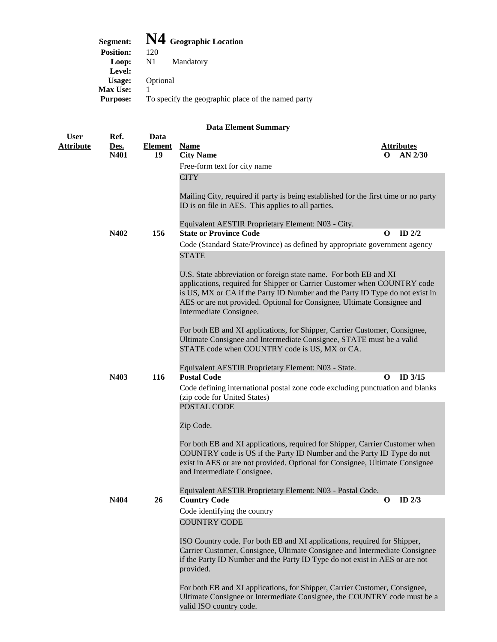| Segment:         | N4 Geographic Location                             |
|------------------|----------------------------------------------------|
| <b>Position:</b> | 120                                                |
| Loop:            | $\mathbf{N}1$<br>Mandatory                         |
| Level:           |                                                    |
| Usage:           | Optional                                           |
| <b>Max Use:</b>  |                                                    |
| <b>Purpose:</b>  | To specify the geographic place of the named party |
|                  |                                                    |

| <b>User</b>                                                                                                                                                                                                                                                           | Ref.         | Data                 |                                                                                                                                                                                                                                                                                                                                     |          |                                |
|-----------------------------------------------------------------------------------------------------------------------------------------------------------------------------------------------------------------------------------------------------------------------|--------------|----------------------|-------------------------------------------------------------------------------------------------------------------------------------------------------------------------------------------------------------------------------------------------------------------------------------------------------------------------------------|----------|--------------------------------|
| <b>Attribute</b>                                                                                                                                                                                                                                                      | Des.<br>N401 | <b>Element</b><br>19 | <b>Name</b><br><b>City Name</b>                                                                                                                                                                                                                                                                                                     | $\Omega$ | <b>Attributes</b><br>$AN$ 2/30 |
|                                                                                                                                                                                                                                                                       |              |                      | Free-form text for city name                                                                                                                                                                                                                                                                                                        |          |                                |
|                                                                                                                                                                                                                                                                       |              |                      | <b>CITY</b>                                                                                                                                                                                                                                                                                                                         |          |                                |
|                                                                                                                                                                                                                                                                       |              |                      |                                                                                                                                                                                                                                                                                                                                     |          |                                |
|                                                                                                                                                                                                                                                                       |              |                      | Mailing City, required if party is being established for the first time or no party<br>ID is on file in AES. This applies to all parties.                                                                                                                                                                                           |          |                                |
|                                                                                                                                                                                                                                                                       |              |                      | Equivalent AESTIR Proprietary Element: N03 - City.                                                                                                                                                                                                                                                                                  |          |                                |
|                                                                                                                                                                                                                                                                       | N402         | 156                  | <b>State or Province Code</b>                                                                                                                                                                                                                                                                                                       | O        | ID $2/2$                       |
|                                                                                                                                                                                                                                                                       |              |                      | Code (Standard State/Province) as defined by appropriate government agency                                                                                                                                                                                                                                                          |          |                                |
|                                                                                                                                                                                                                                                                       |              |                      | <b>STATE</b>                                                                                                                                                                                                                                                                                                                        |          |                                |
|                                                                                                                                                                                                                                                                       |              |                      | U.S. State abbreviation or foreign state name. For both EB and XI<br>applications, required for Shipper or Carrier Customer when COUNTRY code<br>is US, MX or CA if the Party ID Number and the Party ID Type do not exist in<br>AES or are not provided. Optional for Consignee, Ultimate Consignee and<br>Intermediate Consignee. |          |                                |
|                                                                                                                                                                                                                                                                       |              |                      |                                                                                                                                                                                                                                                                                                                                     |          |                                |
|                                                                                                                                                                                                                                                                       |              |                      | For both EB and XI applications, for Shipper, Carrier Customer, Consignee,<br>Ultimate Consignee and Intermediate Consignee, STATE must be a valid                                                                                                                                                                                  |          |                                |
|                                                                                                                                                                                                                                                                       |              |                      | STATE code when COUNTRY code is US, MX or CA.                                                                                                                                                                                                                                                                                       |          |                                |
|                                                                                                                                                                                                                                                                       |              |                      |                                                                                                                                                                                                                                                                                                                                     |          |                                |
|                                                                                                                                                                                                                                                                       | N403         | 116                  | Equivalent AESTIR Proprietary Element: N03 - State.<br><b>Postal Code</b>                                                                                                                                                                                                                                                           | O        | ID 3/15                        |
|                                                                                                                                                                                                                                                                       |              |                      | Code defining international postal zone code excluding punctuation and blanks                                                                                                                                                                                                                                                       |          |                                |
|                                                                                                                                                                                                                                                                       |              |                      | (zip code for United States)<br>POSTAL CODE                                                                                                                                                                                                                                                                                         |          |                                |
|                                                                                                                                                                                                                                                                       |              |                      |                                                                                                                                                                                                                                                                                                                                     |          |                                |
|                                                                                                                                                                                                                                                                       |              |                      | Zip Code.                                                                                                                                                                                                                                                                                                                           |          |                                |
| For both EB and XI applications, required for Shipper, Carrier Customer when<br>COUNTRY code is US if the Party ID Number and the Party ID Type do not<br>exist in AES or are not provided. Optional for Consignee, Ultimate Consignee<br>and Intermediate Consignee. |              |                      |                                                                                                                                                                                                                                                                                                                                     |          |                                |
|                                                                                                                                                                                                                                                                       |              |                      | Equivalent AESTIR Proprietary Element: N03 - Postal Code.                                                                                                                                                                                                                                                                           |          |                                |
|                                                                                                                                                                                                                                                                       | N404         | 26                   | <b>Country Code</b>                                                                                                                                                                                                                                                                                                                 | $\bf{0}$ | ID $2/3$                       |
|                                                                                                                                                                                                                                                                       |              |                      | Code identifying the country                                                                                                                                                                                                                                                                                                        |          |                                |
|                                                                                                                                                                                                                                                                       |              |                      | <b>COUNTRY CODE</b>                                                                                                                                                                                                                                                                                                                 |          |                                |
|                                                                                                                                                                                                                                                                       |              |                      | ISO Country code. For both EB and XI applications, required for Shipper,<br>Carrier Customer, Consignee, Ultimate Consignee and Intermediate Consignee<br>if the Party ID Number and the Party ID Type do not exist in AES or are not<br>provided.                                                                                  |          |                                |
|                                                                                                                                                                                                                                                                       |              |                      | For both EB and XI applications, for Shipper, Carrier Customer, Consignee,<br>Ultimate Consignee or Intermediate Consignee, the COUNTRY code must be a<br>valid ISO country code.                                                                                                                                                   |          |                                |
|                                                                                                                                                                                                                                                                       |              |                      |                                                                                                                                                                                                                                                                                                                                     |          |                                |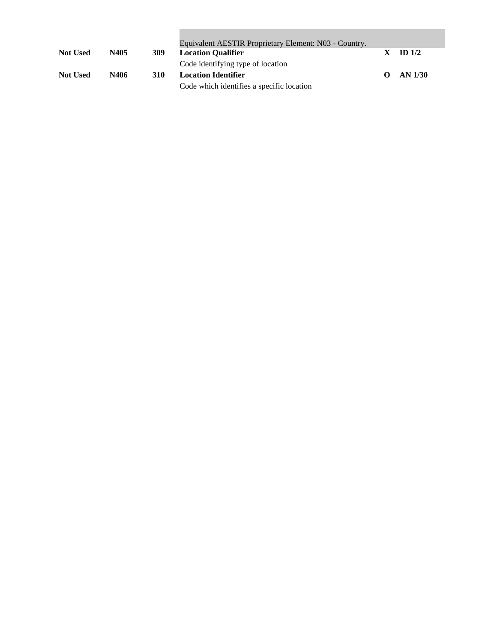|                 |      |     | Equivalent AESTIR Proprietary Element: N03 - Country. |                   |          |
|-----------------|------|-----|-------------------------------------------------------|-------------------|----------|
| <b>Not Used</b> | N405 | 309 | <b>Location Qualifier</b>                             |                   | ID $1/2$ |
|                 |      |     | Code identifying type of location                     |                   |          |
| <b>Not Used</b> | N406 | 310 | <b>Location Identifier</b>                            | $\mathbf{\Omega}$ | AN 1/30  |
|                 |      |     | Code which identifies a specific location             |                   |          |

and the control of the control of the control of the control of the control of the control of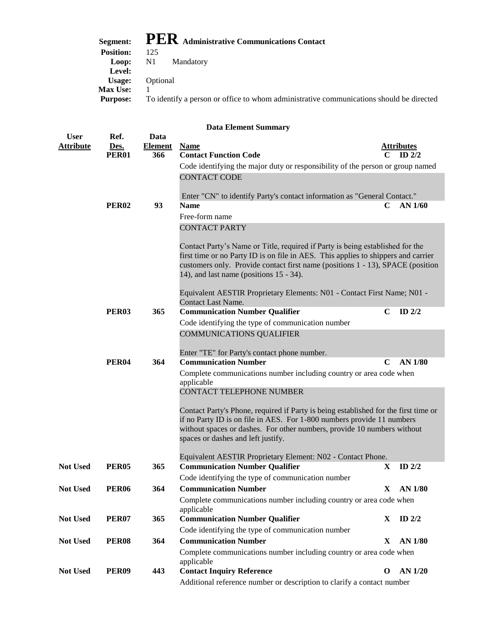| Segment:         | $\mathbf{PER}$ Administrative Communications Contact                                    |
|------------------|-----------------------------------------------------------------------------------------|
| <b>Position:</b> | 125                                                                                     |
|                  | Loop: N1 Mandatory                                                                      |
| Level:           |                                                                                         |
| Usage:           | Optional                                                                                |
| <b>Max Use:</b>  |                                                                                         |
| <b>Purpose:</b>  | To identify a person or office to whom administrative communications should be directed |

| <b>User</b>      | Ref.         | Data           |                                                                                                                                                                                                                                                                                                    |                                                                                                                                                                                                                                          |                   |  |  |  |
|------------------|--------------|----------------|----------------------------------------------------------------------------------------------------------------------------------------------------------------------------------------------------------------------------------------------------------------------------------------------------|------------------------------------------------------------------------------------------------------------------------------------------------------------------------------------------------------------------------------------------|-------------------|--|--|--|
| <b>Attribute</b> | Des.         | <b>Element</b> | <b>Name</b>                                                                                                                                                                                                                                                                                        |                                                                                                                                                                                                                                          | Attributes        |  |  |  |
|                  | <b>PER01</b> | 366            | <b>Contact Function Code</b>                                                                                                                                                                                                                                                                       |                                                                                                                                                                                                                                          | ID <sub>2/2</sub> |  |  |  |
|                  |              |                | Code identifying the major duty or responsibility of the person or group named                                                                                                                                                                                                                     |                                                                                                                                                                                                                                          |                   |  |  |  |
|                  |              |                | <b>CONTACT CODE</b>                                                                                                                                                                                                                                                                                |                                                                                                                                                                                                                                          |                   |  |  |  |
|                  |              |                | Enter "CN" to identify Party's contact information as "General Contact."                                                                                                                                                                                                                           |                                                                                                                                                                                                                                          |                   |  |  |  |
|                  | <b>PER02</b> | 93             | <b>Name</b>                                                                                                                                                                                                                                                                                        | AN $1/60$<br>C                                                                                                                                                                                                                           |                   |  |  |  |
|                  |              |                | Free-form name                                                                                                                                                                                                                                                                                     |                                                                                                                                                                                                                                          |                   |  |  |  |
|                  |              |                | <b>CONTACT PARTY</b>                                                                                                                                                                                                                                                                               |                                                                                                                                                                                                                                          |                   |  |  |  |
|                  |              |                | Contact Party's Name or Title, required if Party is being established for the<br>first time or no Party ID is on file in AES. This applies to shippers and carrier<br>customers only. Provide contact first name (positions 1 - 13), SPACE (position<br>14), and last name (positions $15 - 34$ ). |                                                                                                                                                                                                                                          |                   |  |  |  |
|                  |              |                | Equivalent AESTIR Proprietary Elements: N01 - Contact First Name; N01 -<br>Contact Last Name.                                                                                                                                                                                                      |                                                                                                                                                                                                                                          |                   |  |  |  |
|                  | <b>PER03</b> | 365            | <b>Communication Number Qualifier</b>                                                                                                                                                                                                                                                              | C                                                                                                                                                                                                                                        | ID $2/2$          |  |  |  |
|                  |              |                | Code identifying the type of communication number                                                                                                                                                                                                                                                  |                                                                                                                                                                                                                                          |                   |  |  |  |
|                  |              |                | <b>COMMUNICATIONS QUALIFIER</b>                                                                                                                                                                                                                                                                    |                                                                                                                                                                                                                                          |                   |  |  |  |
|                  |              |                |                                                                                                                                                                                                                                                                                                    |                                                                                                                                                                                                                                          |                   |  |  |  |
|                  |              |                | Enter "TE" for Party's contact phone number.                                                                                                                                                                                                                                                       |                                                                                                                                                                                                                                          |                   |  |  |  |
|                  | <b>PER04</b> | 364            | <b>Communication Number</b>                                                                                                                                                                                                                                                                        | C                                                                                                                                                                                                                                        | <b>AN 1/80</b>    |  |  |  |
|                  |              |                | Complete communications number including country or area code when<br>applicable                                                                                                                                                                                                                   |                                                                                                                                                                                                                                          |                   |  |  |  |
|                  |              |                | <b>CONTACT TELEPHONE NUMBER</b>                                                                                                                                                                                                                                                                    |                                                                                                                                                                                                                                          |                   |  |  |  |
|                  |              |                |                                                                                                                                                                                                                                                                                                    |                                                                                                                                                                                                                                          |                   |  |  |  |
|                  |              |                | spaces or dashes and left justify.                                                                                                                                                                                                                                                                 | Contact Party's Phone, required if Party is being established for the first time or<br>if no Party ID is on file in AES. For 1-800 numbers provide 11 numbers<br>without spaces or dashes. For other numbers, provide 10 numbers without |                   |  |  |  |
|                  |              |                |                                                                                                                                                                                                                                                                                                    |                                                                                                                                                                                                                                          |                   |  |  |  |
|                  |              |                | Equivalent AESTIR Proprietary Element: N02 - Contact Phone.                                                                                                                                                                                                                                        |                                                                                                                                                                                                                                          |                   |  |  |  |
| <b>Not Used</b>  | <b>PER05</b> | 365            | <b>Communication Number Qualifier</b>                                                                                                                                                                                                                                                              | X                                                                                                                                                                                                                                        | ID $2/2$          |  |  |  |
|                  |              |                | Code identifying the type of communication number                                                                                                                                                                                                                                                  |                                                                                                                                                                                                                                          |                   |  |  |  |
| <b>Not Used</b>  | <b>PER06</b> | 364            | <b>Communication Number</b>                                                                                                                                                                                                                                                                        | $\mathbf X$                                                                                                                                                                                                                              | <b>AN 1/80</b>    |  |  |  |
|                  |              |                | Complete communications number including country or area code when<br>applicable                                                                                                                                                                                                                   |                                                                                                                                                                                                                                          |                   |  |  |  |
| <b>Not Used</b>  | <b>PER07</b> | 365            | <b>Communication Number Qualifier</b>                                                                                                                                                                                                                                                              | X                                                                                                                                                                                                                                        | ID $2/2$          |  |  |  |
|                  |              |                | Code identifying the type of communication number                                                                                                                                                                                                                                                  |                                                                                                                                                                                                                                          |                   |  |  |  |
| <b>Not Used</b>  | <b>PER08</b> | 364            | <b>Communication Number</b>                                                                                                                                                                                                                                                                        | X                                                                                                                                                                                                                                        | <b>AN 1/80</b>    |  |  |  |
|                  |              |                | Complete communications number including country or area code when                                                                                                                                                                                                                                 |                                                                                                                                                                                                                                          |                   |  |  |  |
|                  |              |                | applicable                                                                                                                                                                                                                                                                                         |                                                                                                                                                                                                                                          |                   |  |  |  |
| <b>Not Used</b>  | <b>PER09</b> | 443            | <b>Contact Inquiry Reference</b>                                                                                                                                                                                                                                                                   | $\mathbf 0$                                                                                                                                                                                                                              | AN 1/20           |  |  |  |
|                  |              |                | Additional reference number or description to clarify a contact number                                                                                                                                                                                                                             |                                                                                                                                                                                                                                          |                   |  |  |  |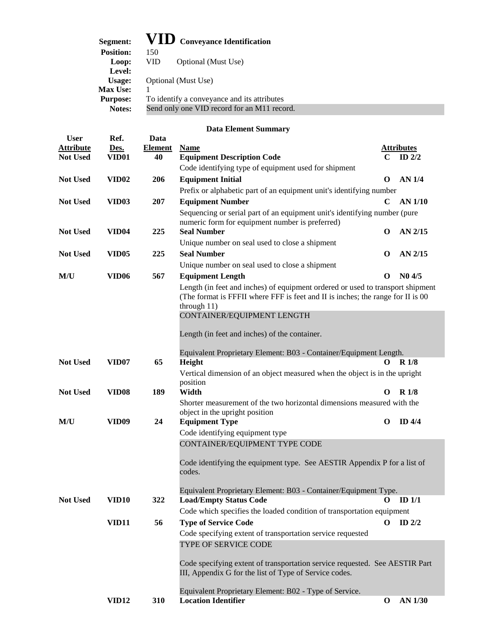### **Segment: VID Conveyance Identification**

| $\sim$           |                                             |
|------------------|---------------------------------------------|
| <b>Position:</b> | 150                                         |
| Loop:            | VID<br>Optional (Must Use)                  |
| Level:           |                                             |
| Usage:           | Optional (Must Use)                         |
| <b>Max Use:</b>  |                                             |
| <b>Purpose:</b>  | To identify a conveyance and its attributes |
| Notes:           | Send only one VID record for an M11 record. |
|                  |                                             |

| <b>User</b>      | Ref.              | Data           |                                                                                                                                                                   |             |                   |
|------------------|-------------------|----------------|-------------------------------------------------------------------------------------------------------------------------------------------------------------------|-------------|-------------------|
| <b>Attribute</b> | Des.              | <b>Element</b> | <b>Name</b>                                                                                                                                                       |             | <b>Attributes</b> |
| <b>Not Used</b>  | VID01             | 40             | <b>Equipment Description Code</b>                                                                                                                                 | C           | ID $2/2$          |
|                  |                   |                | Code identifying type of equipment used for shipment                                                                                                              |             |                   |
| <b>Not Used</b>  | <b>VID02</b>      | 206            | <b>Equipment Initial</b>                                                                                                                                          | O           | <b>AN 1/4</b>     |
|                  |                   |                | Prefix or alphabetic part of an equipment unit's identifying number                                                                                               |             |                   |
| <b>Not Used</b>  | <b>VID03</b>      | 207            | <b>Equipment Number</b>                                                                                                                                           | $\mathbf C$ | AN 1/10           |
|                  |                   |                | Sequencing or serial part of an equipment unit's identifying number (pure                                                                                         |             |                   |
|                  |                   |                | numeric form for equipment number is preferred)                                                                                                                   |             |                   |
| <b>Not Used</b>  | <b>VID04</b>      | 225            | <b>Seal Number</b>                                                                                                                                                | O           | AN 2/15           |
|                  |                   |                | Unique number on seal used to close a shipment                                                                                                                    |             |                   |
| <b>Not Used</b>  | VID <sub>05</sub> | 225            | <b>Seal Number</b>                                                                                                                                                | $\mathbf 0$ | AN 2/15           |
|                  |                   |                | Unique number on seal used to close a shipment                                                                                                                    |             |                   |
| M/U              | VID <sub>06</sub> | 567            | <b>Equipment Length</b>                                                                                                                                           | O           | N04/5             |
|                  |                   |                | Length (in feet and inches) of equipment ordered or used to transport shipment<br>(The format is FFFII where FFF is feet and II is inches; the range for II is 00 |             |                   |
|                  |                   |                | through 11)                                                                                                                                                       |             |                   |
|                  |                   |                | CONTAINER/EQUIPMENT LENGTH                                                                                                                                        |             |                   |
|                  |                   |                |                                                                                                                                                                   |             |                   |
|                  |                   |                | Length (in feet and inches) of the container.                                                                                                                     |             |                   |
|                  |                   |                | Equivalent Proprietary Element: B03 - Container/Equipment Length.                                                                                                 |             |                   |
| <b>Not Used</b>  | VID07             | 65             | Height                                                                                                                                                            | 0           | R1/8              |
|                  |                   |                | Vertical dimension of an object measured when the object is in the upright                                                                                        |             |                   |
|                  |                   |                | position                                                                                                                                                          |             |                   |
| <b>Not Used</b>  | VID <sub>08</sub> | 189            | Width                                                                                                                                                             | O           | R <sub>1/8</sub>  |
|                  |                   |                | Shorter measurement of the two horizontal dimensions measured with the                                                                                            |             |                   |
|                  | <b>VID09</b>      | 24             | object in the upright position                                                                                                                                    | O           | $ID$ 4/4          |
| M/U              |                   |                | <b>Equipment Type</b>                                                                                                                                             |             |                   |
|                  |                   |                | Code identifying equipment type<br>CONTAINER/EQUIPMENT TYPE CODE                                                                                                  |             |                   |
|                  |                   |                |                                                                                                                                                                   |             |                   |
|                  |                   |                | Code identifying the equipment type. See AESTIR Appendix P for a list of<br>codes.                                                                                |             |                   |
|                  |                   |                |                                                                                                                                                                   |             |                   |
|                  |                   |                | Equivalent Proprietary Element: B03 - Container/Equipment Type.                                                                                                   |             |                   |
| <b>Not Used</b>  | VID10             | 322            | <b>Load/Empty Status Code</b>                                                                                                                                     | O           | ID <sub>1/1</sub> |
|                  |                   |                | Code which specifies the loaded condition of transportation equipment                                                                                             |             |                   |
|                  | <b>VID11</b>      | 56             | <b>Type of Service Code</b>                                                                                                                                       | O           | ID $2/2$          |
|                  |                   |                | Code specifying extent of transportation service requested                                                                                                        |             |                   |
|                  |                   |                | TYPE OF SERVICE CODE                                                                                                                                              |             |                   |
|                  |                   |                |                                                                                                                                                                   |             |                   |
|                  |                   |                | Code specifying extent of transportation service requested. See AESTIR Part<br>III, Appendix G for the list of Type of Service codes.                             |             |                   |
|                  |                   |                |                                                                                                                                                                   |             |                   |
|                  |                   |                | Equivalent Proprietary Element: B02 - Type of Service.                                                                                                            |             |                   |
|                  | <b>VID12</b>      | 310            | <b>Location Identifier</b>                                                                                                                                        | O           | AN 1/30           |
|                  |                   |                |                                                                                                                                                                   |             |                   |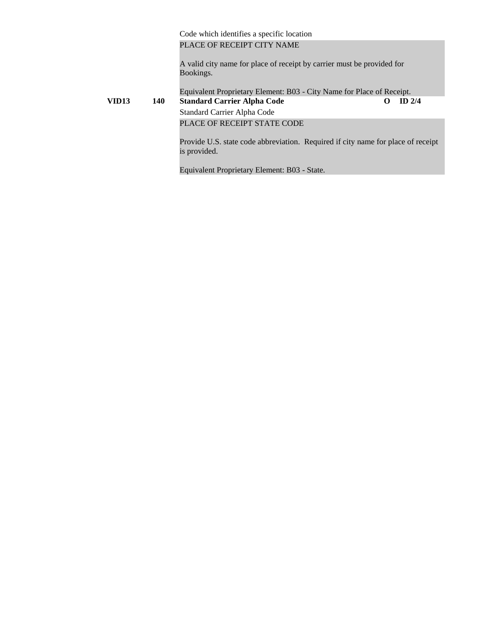Code which identifies a specific location PLACE OF RECEIPT CITY NAME

A valid city name for place of receipt by carrier must be provided for Bookings.

Equivalent Proprietary Element: B03 - City Name for Place of Receipt. **VID13 140 Standard Carrier Alpha Code O ID 2/4** Standard Carrier Alpha Code PLACE OF RECEIPT STATE CODE

Provide U.S. state code abbreviation. Required if city name for place of receipt is provided.

Equivalent Proprietary Element: B03 - State.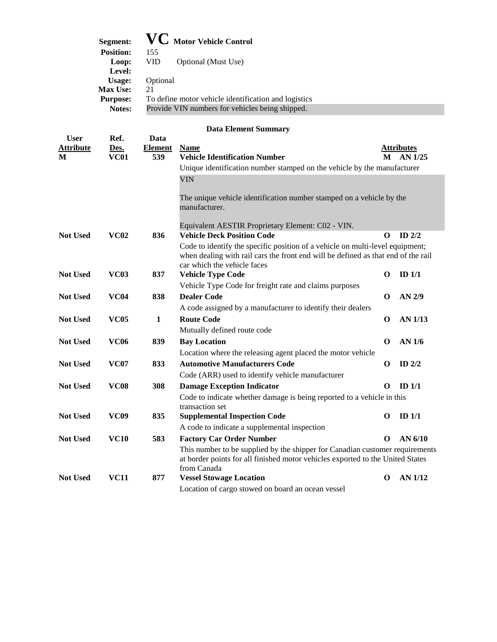| Segment:         | <b>VC</b> Motor Vehicle Control                      |
|------------------|------------------------------------------------------|
| <b>Position:</b> | 155                                                  |
| Loop:            | VID.<br>Optional (Must Use)                          |
| Level:           |                                                      |
| Usage:           | Optional                                             |
| <b>Max Use:</b>  | 21                                                   |
| <b>Purpose:</b>  | To define motor vehicle identification and logistics |
| Notes:           | Provide VIN numbers for vehicles being shipped.      |

| <b>User</b>      | Ref.        | Data           |                                                                                                                                                                               |             |                   |
|------------------|-------------|----------------|-------------------------------------------------------------------------------------------------------------------------------------------------------------------------------|-------------|-------------------|
| <b>Attribute</b> | Des.        | <b>Element</b> | <b>Name</b>                                                                                                                                                                   |             | <b>Attributes</b> |
| M                | <b>VC01</b> | 539            | <b>Vehicle Identification Number</b>                                                                                                                                          | М           | $AN$ 1/25         |
|                  |             |                | Unique identification number stamped on the vehicle by the manufacturer                                                                                                       |             |                   |
|                  |             |                | <b>VIN</b>                                                                                                                                                                    |             |                   |
|                  |             |                | The unique vehicle identification number stamped on a vehicle by the<br>manufacturer.                                                                                         |             |                   |
|                  |             |                | Equivalent AESTIR Proprietary Element: C02 - VIN.                                                                                                                             |             |                   |
| <b>Not Used</b>  | <b>VC02</b> | 836            | <b>Vehicle Deck Position Code</b>                                                                                                                                             | O           | $ID$ $2/2$        |
|                  |             |                | Code to identify the specific position of a vehicle on multi-level equipment;                                                                                                 |             |                   |
|                  |             |                | when dealing with rail cars the front end will be defined as that end of the rail<br>car which the vehicle faces                                                              |             |                   |
| <b>Not Used</b>  | <b>VC03</b> | 837            | <b>Vehicle Type Code</b>                                                                                                                                                      | $\mathbf 0$ | $ID$ $1/1$        |
|                  |             |                | Vehicle Type Code for freight rate and claims purposes                                                                                                                        |             |                   |
| <b>Not Used</b>  | <b>VC04</b> | 838            | <b>Dealer Code</b>                                                                                                                                                            | O           | AN 2/9            |
|                  |             |                | A code assigned by a manufacturer to identify their dealers                                                                                                                   |             |                   |
| <b>Not Used</b>  | <b>VC05</b> | $\mathbf{1}$   | <b>Route Code</b>                                                                                                                                                             | $\Omega$    | AN 1/13           |
|                  |             |                | Mutually defined route code                                                                                                                                                   |             |                   |
| <b>Not Used</b>  | <b>VC06</b> | 839            | <b>Bay Location</b>                                                                                                                                                           | $\Omega$    | <b>AN 1/6</b>     |
|                  |             |                | Location where the releasing agent placed the motor vehicle                                                                                                                   |             |                   |
| <b>Not Used</b>  | <b>VC07</b> | 833            | <b>Automotive Manufacturers Code</b>                                                                                                                                          | O           | ID $2/2$          |
|                  |             |                | Code (ARR) used to identify vehicle manufacturer                                                                                                                              |             |                   |
| <b>Not Used</b>  | <b>VC08</b> | 308            | <b>Damage Exception Indicator</b>                                                                                                                                             | O           | ID $1/1$          |
|                  |             |                | Code to indicate whether damage is being reported to a vehicle in this<br>transaction set                                                                                     |             |                   |
| <b>Not Used</b>  | <b>VC09</b> | 835            | <b>Supplemental Inspection Code</b>                                                                                                                                           | O           | ID <sub>1/1</sub> |
|                  |             |                | A code to indicate a supplemental inspection                                                                                                                                  |             |                   |
| <b>Not Used</b>  | <b>VC10</b> | 583            | <b>Factory Car Order Number</b>                                                                                                                                               | $\Omega$    | AN $6/10$         |
|                  |             |                | This number to be supplied by the shipper for Canadian customer requirements<br>at border points for all finished motor vehicles exported to the United States<br>from Canada |             |                   |
| <b>Not Used</b>  | <b>VC11</b> | 877            | <b>Vessel Stowage Location</b>                                                                                                                                                | $\mathbf 0$ | AN 1/12           |
|                  |             |                | Location of cargo stowed on board an ocean vessel                                                                                                                             |             |                   |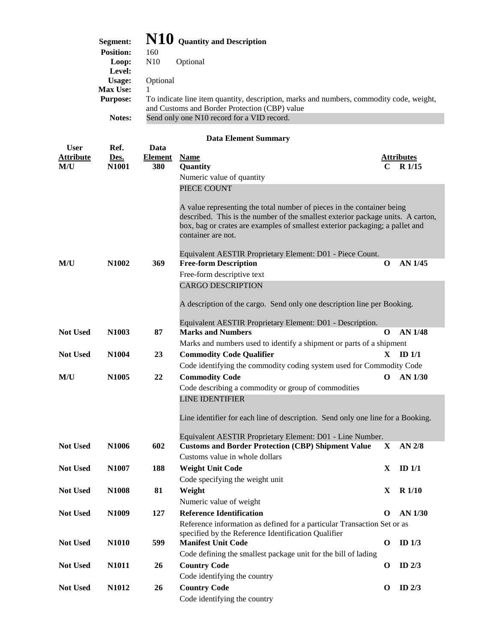| Segment:         | $\mathbf{N10}\,$ Quantity and Description                                                                                                |
|------------------|------------------------------------------------------------------------------------------------------------------------------------------|
| <b>Position:</b> | 160                                                                                                                                      |
| Loop:            | N <sub>10</sub><br>Optional                                                                                                              |
| Level:           |                                                                                                                                          |
| Usage:           | Optional                                                                                                                                 |
| <b>Max Use:</b>  |                                                                                                                                          |
| <b>Purpose:</b>  | To indicate line item quantity, description, marks and numbers, commodity code, weight,<br>and Customs and Border Protection (CBP) value |
| Notes:           | Send only one N10 record for a VID record.                                                                                               |

| <b>User</b>             | Ref.              | Data                  |                                                                                 |              |                             |
|-------------------------|-------------------|-----------------------|---------------------------------------------------------------------------------|--------------|-----------------------------|
| <b>Attribute</b><br>M/U | Des.<br>N1001     | <b>Element</b><br>380 | <b>Name</b><br>Quantity                                                         | C            | <b>Attributes</b><br>R 1/15 |
|                         |                   |                       | Numeric value of quantity                                                       |              |                             |
|                         |                   |                       | PIECE COUNT                                                                     |              |                             |
|                         |                   |                       |                                                                                 |              |                             |
|                         |                   |                       | A value representing the total number of pieces in the container being          |              |                             |
|                         |                   |                       | described. This is the number of the smallest exterior package units. A carton, |              |                             |
|                         |                   |                       | box, bag or crates are examples of smallest exterior packaging; a pallet and    |              |                             |
|                         |                   |                       | container are not.                                                              |              |                             |
|                         |                   |                       | Equivalent AESTIR Proprietary Element: D01 - Piece Count.                       |              |                             |
| M/U                     | N1002             | 369                   | <b>Free-form Description</b>                                                    | $\mathbf{o}$ | AN 1/45                     |
|                         |                   |                       | Free-form descriptive text                                                      |              |                             |
|                         |                   |                       | <b>CARGO DESCRIPTION</b>                                                        |              |                             |
|                         |                   |                       |                                                                                 |              |                             |
|                         |                   |                       | A description of the cargo. Send only one description line per Booking.         |              |                             |
|                         |                   |                       | Equivalent AESTIR Proprietary Element: D01 - Description.                       |              |                             |
| <b>Not Used</b>         | N1003             | 87                    | <b>Marks and Numbers</b>                                                        | $\mathbf 0$  | <b>AN 1/48</b>              |
|                         |                   |                       | Marks and numbers used to identify a shipment or parts of a shipment            |              |                             |
| <b>Not Used</b>         | N1004             | 23                    | <b>Commodity Code Qualifier</b>                                                 | $\mathbf{X}$ | $ID$ $1/1$                  |
|                         |                   |                       | Code identifying the commodity coding system used for Commodity Code            |              |                             |
| M/U                     | N1005             | 22                    | <b>Commodity Code</b>                                                           | $\mathbf 0$  | AN 1/30                     |
|                         |                   |                       | Code describing a commodity or group of commodities                             |              |                             |
|                         |                   |                       | <b>LINE IDENTIFIER</b>                                                          |              |                             |
|                         |                   |                       |                                                                                 |              |                             |
|                         |                   |                       | Line identifier for each line of description. Send only one line for a Booking. |              |                             |
|                         |                   |                       | Equivalent AESTIR Proprietary Element: D01 - Line Number.                       |              |                             |
| <b>Not Used</b>         | N <sub>1006</sub> | 602                   | <b>Customs and Border Protection (CBP) Shipment Value</b>                       | X            | AN 2/8                      |
|                         |                   |                       | Customs value in whole dollars                                                  |              |                             |
| <b>Not Used</b>         | N1007             | 188                   | <b>Weight Unit Code</b>                                                         | X            | ID $1/1$                    |
|                         |                   |                       | Code specifying the weight unit                                                 |              |                             |
| <b>Not Used</b>         | N1008             | 81                    | Weight                                                                          | X            | $R$ 1/10                    |
|                         |                   |                       | Numeric value of weight                                                         |              |                             |
| Not Used                | N1009             | 127                   | <b>Reference Identification</b>                                                 | O            | AN 1/30                     |
|                         |                   |                       | Reference information as defined for a particular Transaction Set or as         |              |                             |
|                         |                   |                       | specified by the Reference Identification Qualifier                             |              |                             |
| <b>Not Used</b>         | N1010             | 599                   | <b>Manifest Unit Code</b>                                                       | $\mathbf 0$  | ID $1/3$                    |
|                         |                   |                       | Code defining the smallest package unit for the bill of lading                  |              |                             |
| <b>Not Used</b>         | N1011             | 26                    | <b>Country Code</b>                                                             | $\mathbf 0$  | ID $2/3$                    |
|                         |                   |                       | Code identifying the country                                                    |              |                             |
| Not Used                | N1012             | 26                    | <b>Country Code</b>                                                             | $\mathbf 0$  | ID $2/3$                    |
|                         |                   |                       | Code identifying the country                                                    |              |                             |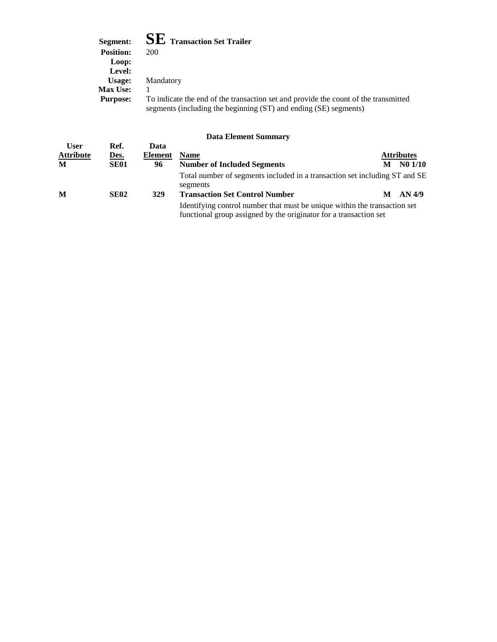| Segment:         | $\mathbf{SE}\:$ Transaction Set Trailer                                                                                                                 |
|------------------|---------------------------------------------------------------------------------------------------------------------------------------------------------|
| <b>Position:</b> | 200                                                                                                                                                     |
| Loop:            |                                                                                                                                                         |
| Level:           |                                                                                                                                                         |
| Usage:           | Mandatory                                                                                                                                               |
| <b>Max Use:</b>  |                                                                                                                                                         |
| <b>Purpose:</b>  | To indicate the end of the transaction set and provide the count of the transmitted<br>segments (including the beginning (ST) and ending (SE) segments) |

|                                 |                     |                 | рата еленісін биншап у                                                                                                                         |   |                   |
|---------------------------------|---------------------|-----------------|------------------------------------------------------------------------------------------------------------------------------------------------|---|-------------------|
| <b>User</b><br><b>Attribute</b> | Ref.<br><u>Des.</u> | Data<br>Element | <b>Name</b>                                                                                                                                    |   | <b>Attributes</b> |
| M                               | <b>SE01</b>         | 96              | <b>Number of Included Segments</b>                                                                                                             | M | N01/10            |
|                                 |                     |                 | Total number of segments included in a transaction set including ST and SE<br>segments                                                         |   |                   |
| M                               | <b>SE02</b>         | 329             | <b>Transaction Set Control Number</b>                                                                                                          | M | AN 4/9            |
|                                 |                     |                 | Identifying control number that must be unique within the transaction set<br>functional group assigned by the originator for a transaction set |   |                   |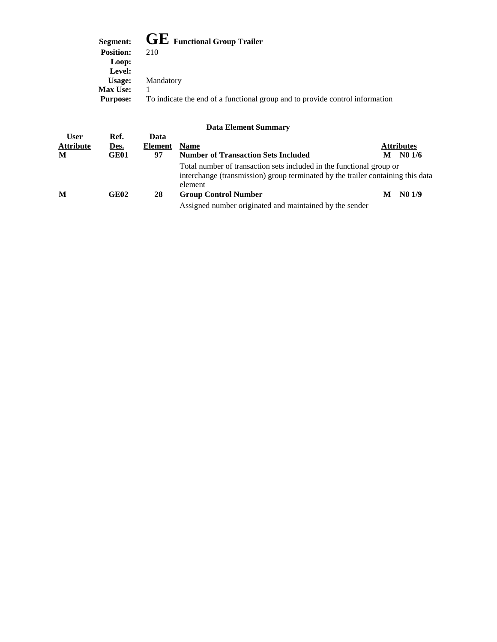|                  | Segment: $\mathbf{GE}$ Functional Group Trailer                              |
|------------------|------------------------------------------------------------------------------|
| <b>Position:</b> | 210                                                                          |
| Loop:            |                                                                              |
| Level:           |                                                                              |
| Usage:           | Mandatory                                                                    |
| <b>Max Use:</b>  |                                                                              |
| <b>Purpose:</b>  | To indicate the end of a functional group and to provide control information |

|                                      |                             |                       | Duva Envincint Duminium                                                                                                                                            |                            |
|--------------------------------------|-----------------------------|-----------------------|--------------------------------------------------------------------------------------------------------------------------------------------------------------------|----------------------------|
| <b>User</b><br><b>Attribute</b><br>M | Ref.<br><u>Des.</u><br>GE01 | Data<br>Element<br>97 | <b>Name</b><br><b>Number of Transaction Sets Included</b>                                                                                                          | <b>Attributes</b><br>N01/6 |
|                                      |                             |                       | Total number of transaction sets included in the functional group or<br>interchange (transmission) group terminated by the trailer containing this data<br>element |                            |
| M                                    | GE02                        | 28                    | <b>Group Control Number</b>                                                                                                                                        | N <sub>0</sub> 1/9         |
|                                      |                             |                       | Assigned number originated and maintained by the sender                                                                                                            |                            |